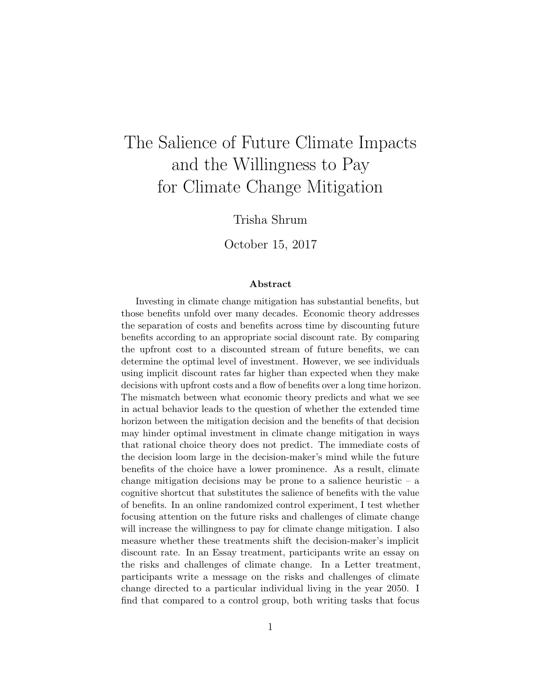# The Salience of Future Climate Impacts and the Willingness to Pay for Climate Change Mitigation

Trisha Shrum

October 15, 2017

#### Abstract

Investing in climate change mitigation has substantial benefits, but those benefits unfold over many decades. Economic theory addresses the separation of costs and benefits across time by discounting future benefits according to an appropriate social discount rate. By comparing the upfront cost to a discounted stream of future benefits, we can determine the optimal level of investment. However, we see individuals using implicit discount rates far higher than expected when they make decisions with upfront costs and a flow of benefits over a long time horizon. The mismatch between what economic theory predicts and what we see in actual behavior leads to the question of whether the extended time horizon between the mitigation decision and the benefits of that decision may hinder optimal investment in climate change mitigation in ways that rational choice theory does not predict. The immediate costs of the decision loom large in the decision-maker's mind while the future benefits of the choice have a lower prominence. As a result, climate change mitigation decisions may be prone to a salience heuristic  $-$  a cognitive shortcut that substitutes the salience of benefits with the value of benefits. In an online randomized control experiment, I test whether focusing attention on the future risks and challenges of climate change will increase the willingness to pay for climate change mitigation. I also measure whether these treatments shift the decision-maker's implicit discount rate. In an Essay treatment, participants write an essay on the risks and challenges of climate change. In a Letter treatment, participants write a message on the risks and challenges of climate change directed to a particular individual living in the year 2050. I find that compared to a control group, both writing tasks that focus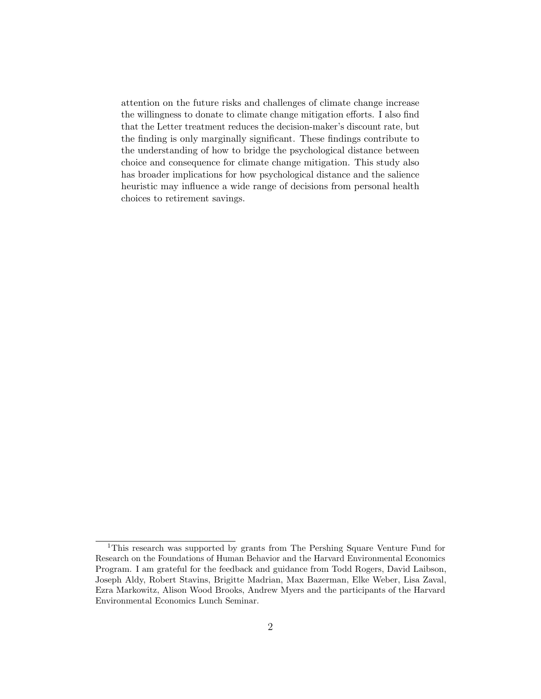attention on the future risks and challenges of climate change increase the willingness to donate to climate change mitigation efforts. I also find that the Letter treatment reduces the decision-maker's discount rate, but the finding is only marginally significant. These findings contribute to the understanding of how to bridge the psychological distance between choice and consequence for climate change mitigation. This study also has broader implications for how psychological distance and the salience heuristic may influence a wide range of decisions from personal health choices to retirement savings.

<sup>1</sup>This research was supported by grants from The Pershing Square Venture Fund for Research on the Foundations of Human Behavior and the Harvard Environmental Economics Program. I am grateful for the feedback and guidance from Todd Rogers, David Laibson, Joseph Aldy, Robert Stavins, Brigitte Madrian, Max Bazerman, Elke Weber, Lisa Zaval, Ezra Markowitz, Alison Wood Brooks, Andrew Myers and the participants of the Harvard Environmental Economics Lunch Seminar.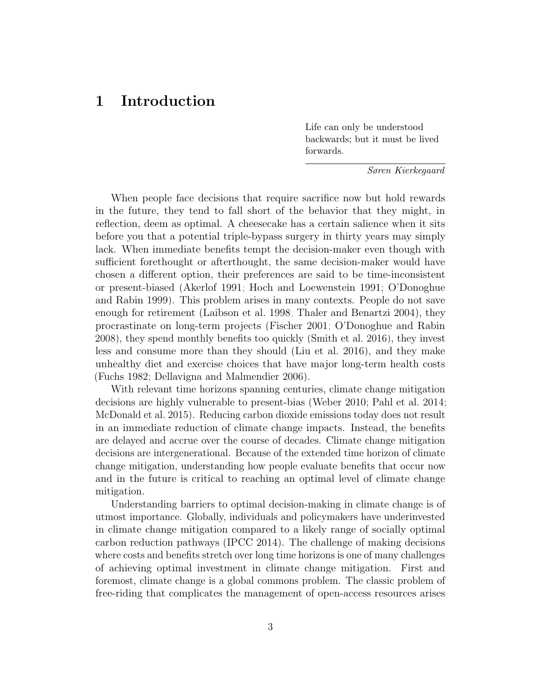## 1 Introduction

Life can only be understood backwards; but it must be lived forwards.

Søren Kierkegaard

When people face decisions that require sacrifice now but hold rewards in the future, they tend to fall short of the behavior that they might, in reflection, deem as optimal. A cheesecake has a certain salience when it sits before you that a potential triple-bypass surgery in thirty years may simply lack. When immediate benefits tempt the decision-maker even though with sufficient forethought or afterthought, the same decision-maker would have chosen a different option, their preferences are said to be time-inconsistent or present-biased [\(Akerlof 1991;](#page-38-0) [Hoch and Loewenstein 1991;](#page-41-0) [O'Donoghue](#page-43-0) [and Rabin 1999\)](#page-43-0). This problem arises in many contexts. People do not save enough for retirement [\(Laibson et al. 1998;](#page-42-0) [Thaler and Benartzi 2004\)](#page-44-0), they procrastinate on long-term projects [\(Fischer 2001;](#page-40-0) [O'Donoghue and Rabin](#page-43-1) [2008\)](#page-43-1), they spend monthly benefits too quickly [\(Smith et al. 2016\)](#page-44-1), they invest less and consume more than they should [\(Liu et al. 2016\)](#page-42-1), and they make unhealthy diet and exercise choices that have major long-term health costs [\(Fuchs 1982;](#page-40-1) [Dellavigna and Malmendier 2006\)](#page-39-0).

With relevant time horizons spanning centuries, climate change mitigation decisions are highly vulnerable to present-bias [\(Weber 2010;](#page-44-2) [Pahl et al. 2014;](#page-43-2) [McDonald et al. 2015\)](#page-43-3). Reducing carbon dioxide emissions today does not result in an immediate reduction of climate change impacts. Instead, the benefits are delayed and accrue over the course of decades. Climate change mitigation decisions are intergenerational. Because of the extended time horizon of climate change mitigation, understanding how people evaluate benefits that occur now and in the future is critical to reaching an optimal level of climate change mitigation.

Understanding barriers to optimal decision-making in climate change is of utmost importance. Globally, individuals and policymakers have underinvested in climate change mitigation compared to a likely range of socially optimal carbon reduction pathways [\(IPCC 2014\)](#page-41-1). The challenge of making decisions where costs and benefits stretch over long time horizons is one of many challenges of achieving optimal investment in climate change mitigation. First and foremost, climate change is a global commons problem. The classic problem of free-riding that complicates the management of open-access resources arises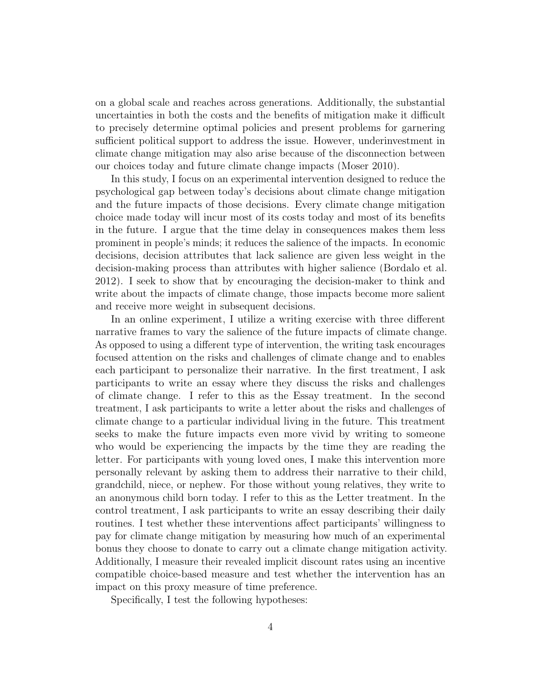on a global scale and reaches across generations. Additionally, the substantial uncertainties in both the costs and the benefits of mitigation make it difficult to precisely determine optimal policies and present problems for garnering sufficient political support to address the issue. However, underinvestment in climate change mitigation may also arise because of the disconnection between our choices today and future climate change impacts [\(Moser 2010\)](#page-43-4).

In this study, I focus on an experimental intervention designed to reduce the psychological gap between today's decisions about climate change mitigation and the future impacts of those decisions. Every climate change mitigation choice made today will incur most of its costs today and most of its benefits in the future. I argue that the time delay in consequences makes them less prominent in people's minds; it reduces the salience of the impacts. In economic decisions, decision attributes that lack salience are given less weight in the decision-making process than attributes with higher salience [\(Bordalo et al.](#page-39-1) [2012\)](#page-39-1). I seek to show that by encouraging the decision-maker to think and write about the impacts of climate change, those impacts become more salient and receive more weight in subsequent decisions.

In an online experiment, I utilize a writing exercise with three different narrative frames to vary the salience of the future impacts of climate change. As opposed to using a different type of intervention, the writing task encourages focused attention on the risks and challenges of climate change and to enables each participant to personalize their narrative. In the first treatment, I ask participants to write an essay where they discuss the risks and challenges of climate change. I refer to this as the Essay treatment. In the second treatment, I ask participants to write a letter about the risks and challenges of climate change to a particular individual living in the future. This treatment seeks to make the future impacts even more vivid by writing to someone who would be experiencing the impacts by the time they are reading the letter. For participants with young loved ones, I make this intervention more personally relevant by asking them to address their narrative to their child, grandchild, niece, or nephew. For those without young relatives, they write to an anonymous child born today. I refer to this as the Letter treatment. In the control treatment, I ask participants to write an essay describing their daily routines. I test whether these interventions affect participants' willingness to pay for climate change mitigation by measuring how much of an experimental bonus they choose to donate to carry out a climate change mitigation activity. Additionally, I measure their revealed implicit discount rates using an incentive compatible choice-based measure and test whether the intervention has an impact on this proxy measure of time preference.

Specifically, I test the following hypotheses: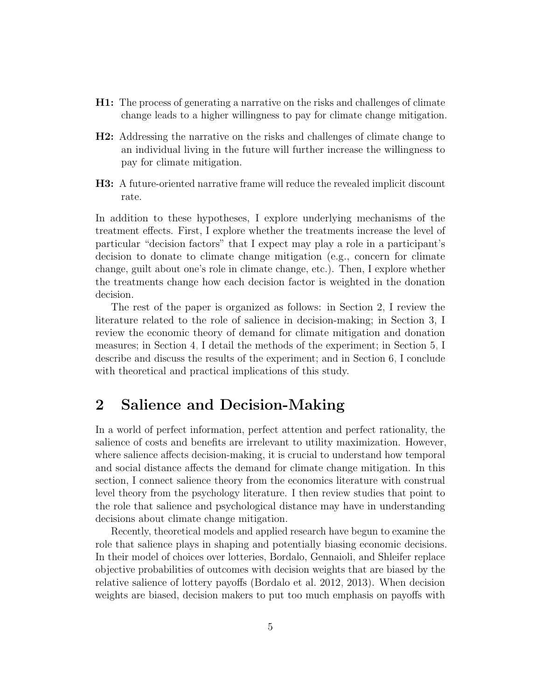- H1: The process of generating a narrative on the risks and challenges of climate change leads to a higher willingness to pay for climate change mitigation.
- H2: Addressing the narrative on the risks and challenges of climate change to an individual living in the future will further increase the willingness to pay for climate mitigation.
- H3: A future-oriented narrative frame will reduce the revealed implicit discount rate.

In addition to these hypotheses, I explore underlying mechanisms of the treatment effects. First, I explore whether the treatments increase the level of particular "decision factors" that I expect may play a role in a participant's decision to donate to climate change mitigation (e.g., concern for climate change, guilt about one's role in climate change, etc.). Then, I explore whether the treatments change how each decision factor is weighted in the donation decision.

The rest of the paper is organized as follows: in Section [2,](#page-4-0) I review the literature related to the role of salience in decision-making; in Section [3,](#page-9-0) I review the economic theory of demand for climate mitigation and donation measures; in Section [4,](#page-12-0) I detail the methods of the experiment; in Section [5,](#page-19-0) I describe and discuss the results of the experiment; and in Section [6,](#page-34-0) I conclude with theoretical and practical implications of this study.

## <span id="page-4-0"></span>2 Salience and Decision-Making

In a world of perfect information, perfect attention and perfect rationality, the salience of costs and benefits are irrelevant to utility maximization. However, where salience affects decision-making, it is crucial to understand how temporal and social distance affects the demand for climate change mitigation. In this section, I connect salience theory from the economics literature with construal level theory from the psychology literature. I then review studies that point to the role that salience and psychological distance may have in understanding decisions about climate change mitigation.

Recently, theoretical models and applied research have begun to examine the role that salience plays in shaping and potentially biasing economic decisions. In their model of choices over lotteries, Bordalo, Gennaioli, and Shleifer replace objective probabilities of outcomes with decision weights that are biased by the relative salience of lottery payoffs [\(Bordalo et al. 2012,](#page-39-1) [2013\)](#page-39-2). When decision weights are biased, decision makers to put too much emphasis on payoffs with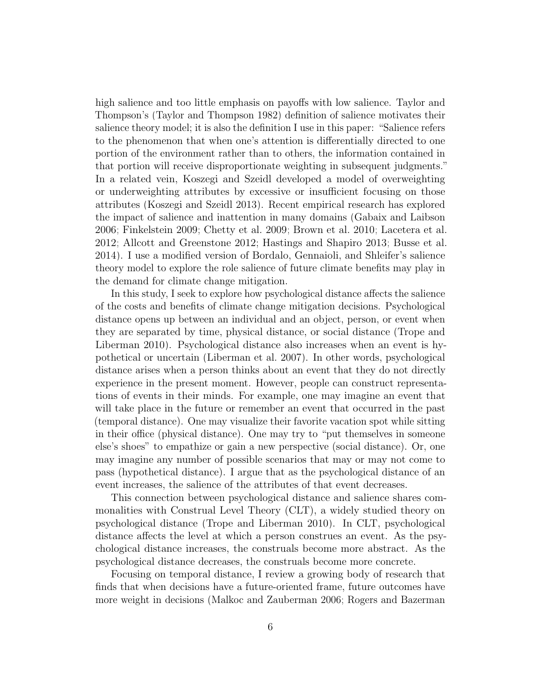high salience and too little emphasis on payoffs with low salience. Taylor and Thompson's [\(Taylor and Thompson 1982\)](#page-44-3) definition of salience motivates their salience theory model; it is also the definition I use in this paper: "Salience refers to the phenomenon that when one's attention is differentially directed to one portion of the environment rather than to others, the information contained in that portion will receive disproportionate weighting in subsequent judgments." In a related vein, Koszegi and Szeidl developed a model of overweighting or underweighting attributes by excessive or insufficient focusing on those attributes [\(Koszegi and Szeidl 2013\)](#page-42-2). Recent empirical research has explored the impact of salience and inattention in many domains [\(Gabaix and Laibson](#page-40-2) [2006;](#page-40-2) [Finkelstein 2009;](#page-40-3) [Chetty et al. 2009;](#page-39-3) [Brown et al. 2010;](#page-39-4) [Lacetera et al.](#page-42-3) [2012;](#page-42-3) [Allcott and Greenstone 2012;](#page-38-1) [Hastings and Shapiro 2013;](#page-41-2) [Busse et al.](#page-39-5) [2014\)](#page-39-5). I use a modified version of Bordalo, Gennaioli, and Shleifer's salience theory model to explore the role salience of future climate benefits may play in the demand for climate change mitigation.

In this study, I seek to explore how psychological distance affects the salience of the costs and benefits of climate change mitigation decisions. Psychological distance opens up between an individual and an object, person, or event when they are separated by time, physical distance, or social distance [\(Trope and](#page-44-4) [Liberman 2010\)](#page-44-4). Psychological distance also increases when an event is hypothetical or uncertain [\(Liberman et al. 2007\)](#page-42-4). In other words, psychological distance arises when a person thinks about an event that they do not directly experience in the present moment. However, people can construct representations of events in their minds. For example, one may imagine an event that will take place in the future or remember an event that occurred in the past (temporal distance). One may visualize their favorite vacation spot while sitting in their office (physical distance). One may try to "put themselves in someone else's shoes" to empathize or gain a new perspective (social distance). Or, one may imagine any number of possible scenarios that may or may not come to pass (hypothetical distance). I argue that as the psychological distance of an event increases, the salience of the attributes of that event decreases.

This connection between psychological distance and salience shares commonalities with Construal Level Theory (CLT), a widely studied theory on psychological distance [\(Trope and Liberman 2010\)](#page-44-4). In CLT, psychological distance affects the level at which a person construes an event. As the psychological distance increases, the construals become more abstract. As the psychological distance decreases, the construals become more concrete.

Focusing on temporal distance, I review a growing body of research that finds that when decisions have a future-oriented frame, future outcomes have more weight in decisions [\(Malkoc and Zauberman 2006;](#page-42-5) [Rogers and Bazerman](#page-43-5)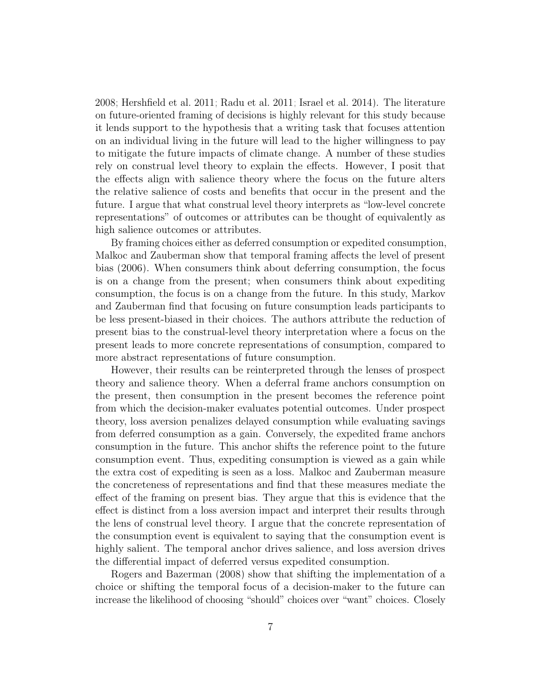[2008;](#page-43-5) [Hershfield et al. 2011;](#page-41-3) [Radu et al. 2011;](#page-43-6) [Israel et al. 2014\)](#page-41-4). The literature on future-oriented framing of decisions is highly relevant for this study because it lends support to the hypothesis that a writing task that focuses attention on an individual living in the future will lead to the higher willingness to pay to mitigate the future impacts of climate change. A number of these studies rely on construal level theory to explain the effects. However, I posit that the effects align with salience theory where the focus on the future alters the relative salience of costs and benefits that occur in the present and the future. I argue that what construal level theory interprets as "low-level concrete representations" of outcomes or attributes can be thought of equivalently as high salience outcomes or attributes.

By framing choices either as deferred consumption or expedited consumption, Malkoc and Zauberman show that temporal framing affects the level of present bias [\(2006\)](#page-42-5). When consumers think about deferring consumption, the focus is on a change from the present; when consumers think about expediting consumption, the focus is on a change from the future. In this study, Markov and Zauberman find that focusing on future consumption leads participants to be less present-biased in their choices. The authors attribute the reduction of present bias to the construal-level theory interpretation where a focus on the present leads to more concrete representations of consumption, compared to more abstract representations of future consumption.

However, their results can be reinterpreted through the lenses of prospect theory and salience theory. When a deferral frame anchors consumption on the present, then consumption in the present becomes the reference point from which the decision-maker evaluates potential outcomes. Under prospect theory, loss aversion penalizes delayed consumption while evaluating savings from deferred consumption as a gain. Conversely, the expedited frame anchors consumption in the future. This anchor shifts the reference point to the future consumption event. Thus, expediting consumption is viewed as a gain while the extra cost of expediting is seen as a loss. Malkoc and Zauberman measure the concreteness of representations and find that these measures mediate the effect of the framing on present bias. They argue that this is evidence that the effect is distinct from a loss aversion impact and interpret their results through the lens of construal level theory. I argue that the concrete representation of the consumption event is equivalent to saying that the consumption event is highly salient. The temporal anchor drives salience, and loss aversion drives the differential impact of deferred versus expedited consumption.

Rogers and Bazerman [\(2008\)](#page-43-5) show that shifting the implementation of a choice or shifting the temporal focus of a decision-maker to the future can increase the likelihood of choosing "should" choices over "want" choices. Closely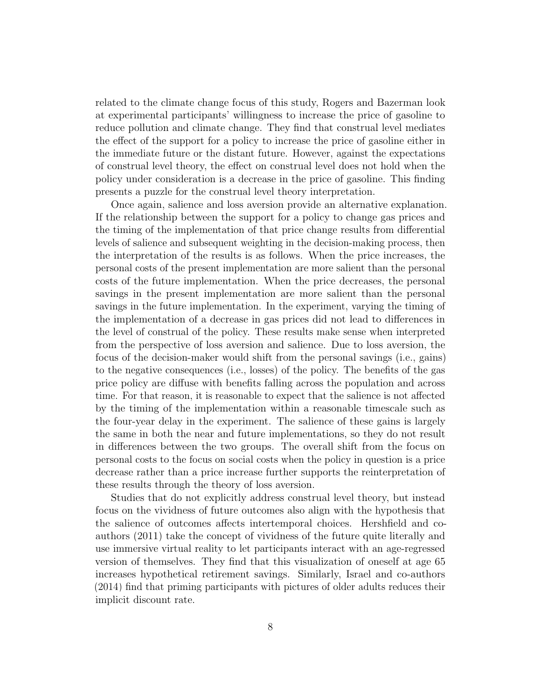related to the climate change focus of this study, Rogers and Bazerman look at experimental participants' willingness to increase the price of gasoline to reduce pollution and climate change. They find that construal level mediates the effect of the support for a policy to increase the price of gasoline either in the immediate future or the distant future. However, against the expectations of construal level theory, the effect on construal level does not hold when the policy under consideration is a decrease in the price of gasoline. This finding presents a puzzle for the construal level theory interpretation.

Once again, salience and loss aversion provide an alternative explanation. If the relationship between the support for a policy to change gas prices and the timing of the implementation of that price change results from differential levels of salience and subsequent weighting in the decision-making process, then the interpretation of the results is as follows. When the price increases, the personal costs of the present implementation are more salient than the personal costs of the future implementation. When the price decreases, the personal savings in the present implementation are more salient than the personal savings in the future implementation. In the experiment, varying the timing of the implementation of a decrease in gas prices did not lead to differences in the level of construal of the policy. These results make sense when interpreted from the perspective of loss aversion and salience. Due to loss aversion, the focus of the decision-maker would shift from the personal savings (i.e., gains) to the negative consequences (i.e., losses) of the policy. The benefits of the gas price policy are diffuse with benefits falling across the population and across time. For that reason, it is reasonable to expect that the salience is not affected by the timing of the implementation within a reasonable timescale such as the four-year delay in the experiment. The salience of these gains is largely the same in both the near and future implementations, so they do not result in differences between the two groups. The overall shift from the focus on personal costs to the focus on social costs when the policy in question is a price decrease rather than a price increase further supports the reinterpretation of these results through the theory of loss aversion.

Studies that do not explicitly address construal level theory, but instead focus on the vividness of future outcomes also align with the hypothesis that the salience of outcomes affects intertemporal choices. Hershfield and coauthors [\(2011\)](#page-41-3) take the concept of vividness of the future quite literally and use immersive virtual reality to let participants interact with an age-regressed version of themselves. They find that this visualization of oneself at age 65 increases hypothetical retirement savings. Similarly, Israel and co-authors [\(2014\)](#page-41-4) find that priming participants with pictures of older adults reduces their implicit discount rate.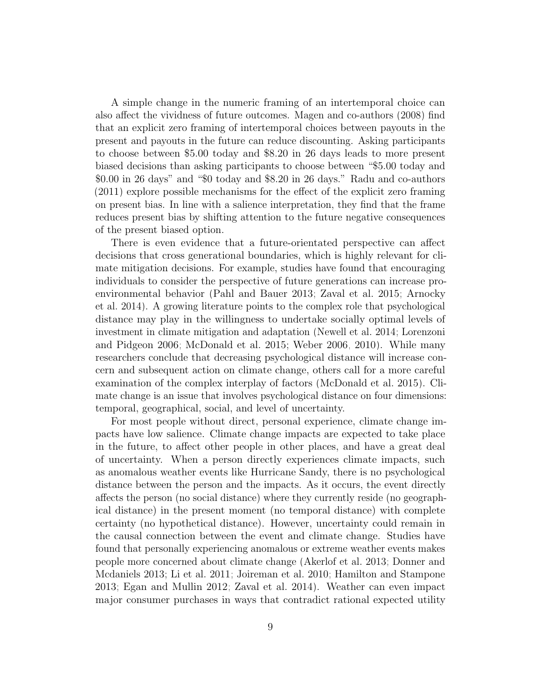A simple change in the numeric framing of an intertemporal choice can also affect the vividness of future outcomes. Magen and co-authors [\(2008\)](#page-42-6) find that an explicit zero framing of intertemporal choices between payouts in the present and payouts in the future can reduce discounting. Asking participants to choose between \$5.00 today and \$8.20 in 26 days leads to more present biased decisions than asking participants to choose between "\$5.00 today and \$0.00 in 26 days" and "\$0 today and \$8.20 in 26 days." Radu and co-authors [\(2011\)](#page-43-6) explore possible mechanisms for the effect of the explicit zero framing on present bias. In line with a salience interpretation, they find that the frame reduces present bias by shifting attention to the future negative consequences of the present biased option.

There is even evidence that a future-orientated perspective can affect decisions that cross generational boundaries, which is highly relevant for climate mitigation decisions. For example, studies have found that encouraging individuals to consider the perspective of future generations can increase proenvironmental behavior [\(Pahl and Bauer 2013;](#page-43-7) [Zaval et al. 2015;](#page-45-0) [Arnocky](#page-38-2) [et al. 2014\)](#page-38-2). A growing literature points to the complex role that psychological distance may play in the willingness to undertake socially optimal levels of investment in climate mitigation and adaptation [\(Newell et al. 2014;](#page-43-8) [Lorenzoni](#page-42-7) [and Pidgeon 2006;](#page-42-7) [McDonald et al. 2015;](#page-43-3) [Weber 2006,](#page-44-5) [2010\)](#page-44-2). While many researchers conclude that decreasing psychological distance will increase concern and subsequent action on climate change, others call for a more careful examination of the complex interplay of factors [\(McDonald et al. 2015\)](#page-43-3). Climate change is an issue that involves psychological distance on four dimensions: temporal, geographical, social, and level of uncertainty.

For most people without direct, personal experience, climate change impacts have low salience. Climate change impacts are expected to take place in the future, to affect other people in other places, and have a great deal of uncertainty. When a person directly experiences climate impacts, such as anomalous weather events like Hurricane Sandy, there is no psychological distance between the person and the impacts. As it occurs, the event directly affects the person (no social distance) where they currently reside (no geographical distance) in the present moment (no temporal distance) with complete certainty (no hypothetical distance). However, uncertainty could remain in the causal connection between the event and climate change. Studies have found that personally experiencing anomalous or extreme weather events makes people more concerned about climate change [\(Akerlof et al. 2013;](#page-38-3) [Donner and](#page-39-6) [Mcdaniels 2013;](#page-39-6) [Li et al. 2011;](#page-42-8) [Joireman et al. 2010;](#page-42-9) [Hamilton and Stampone](#page-41-5) [2013;](#page-41-5) [Egan and Mullin 2012;](#page-40-4) [Zaval et al. 2014\)](#page-45-1). Weather can even impact major consumer purchases in ways that contradict rational expected utility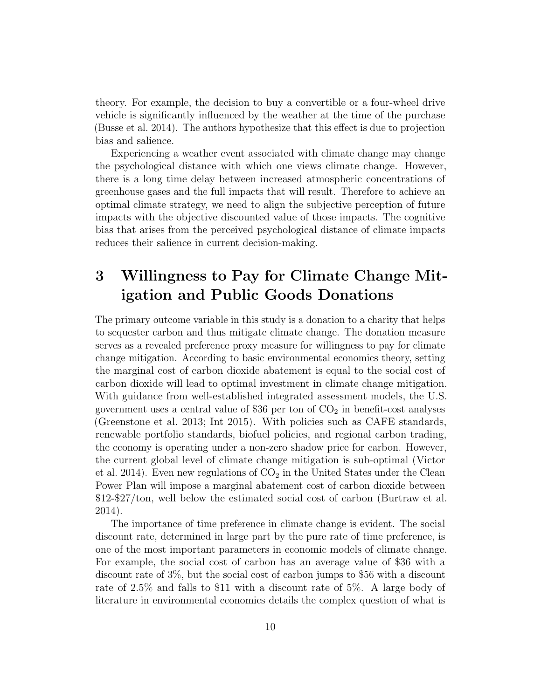theory. For example, the decision to buy a convertible or a four-wheel drive vehicle is significantly influenced by the weather at the time of the purchase [\(Busse et al. 2014\)](#page-39-5). The authors hypothesize that this effect is due to projection bias and salience.

Experiencing a weather event associated with climate change may change the psychological distance with which one views climate change. However, there is a long time delay between increased atmospheric concentrations of greenhouse gases and the full impacts that will result. Therefore to achieve an optimal climate strategy, we need to align the subjective perception of future impacts with the objective discounted value of those impacts. The cognitive bias that arises from the perceived psychological distance of climate impacts reduces their salience in current decision-making.

## <span id="page-9-0"></span>3 Willingness to Pay for Climate Change Mitigation and Public Goods Donations

The primary outcome variable in this study is a donation to a charity that helps to sequester carbon and thus mitigate climate change. The donation measure serves as a revealed preference proxy measure for willingness to pay for climate change mitigation. According to basic environmental economics theory, setting the marginal cost of carbon dioxide abatement is equal to the social cost of carbon dioxide will lead to optimal investment in climate change mitigation. With guidance from well-established integrated assessment models, the U.S. government uses a central value of \$36 per ton of  $CO<sub>2</sub>$  in benefit-cost analyses [\(Greenstone et al. 2013;](#page-40-5) [Int 2015\)](#page-38-4). With policies such as CAFE standards, renewable portfolio standards, biofuel policies, and regional carbon trading, the economy is operating under a non-zero shadow price for carbon. However, the current global level of climate change mitigation is sub-optimal [\(Victor](#page-44-6) [et al. 2014\)](#page-44-6). Even new regulations of  $CO<sub>2</sub>$  in the United States under the Clean Power Plan will impose a marginal abatement cost of carbon dioxide between \$12-\$27/ton, well below the estimated social cost of carbon [\(Burtraw et al.](#page-39-7) [2014\)](#page-39-7).

The importance of time preference in climate change is evident. The social discount rate, determined in large part by the pure rate of time preference, is one of the most important parameters in economic models of climate change. For example, the social cost of carbon has an average value of \$36 with a discount rate of 3%, but the social cost of carbon jumps to \$56 with a discount rate of 2.5% and falls to \$11 with a discount rate of 5%. A large body of literature in environmental economics details the complex question of what is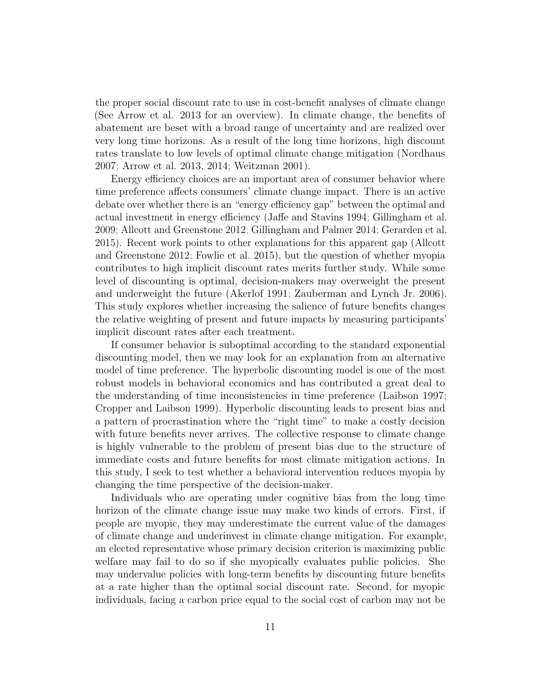the proper social discount rate to use in cost-benefit analyses of climate change (See Arrow et al. 2013 for an overview). In climate change, the benefits of abatement are beset with a broad range of uncertainty and are realized over very long time horizons. As a result of the long time horizons, high discount rates translate to low levels of optimal climate change mitigation [\(Nordhaus](#page-43-9) [2007;](#page-43-9) [Arrow et al. 2013,](#page-38-5) [2014;](#page-38-6) [Weitzman 2001\)](#page-44-7).

Energy efficiency choices are an important area of consumer behavior where time preference affects consumers' climate change impact. There is an active debate over whether there is an "energy efficiency gap" between the optimal and actual investment in energy efficiency [\(Jaffe and Stavins 1994;](#page-42-10) [Gillingham et al.](#page-40-6) [2009;](#page-40-6) [Allcott and Greenstone 2012;](#page-38-1) [Gillingham and Palmer 2014;](#page-40-7) [Gerarden et al.](#page-40-8) [2015\)](#page-40-8). Recent work points to other explanations for this apparent gap [\(Allcott](#page-38-1) [and Greenstone 2012;](#page-38-1) [Fowlie et al. 2015\)](#page-40-9), but the question of whether myopia contributes to high implicit discount rates merits further study. While some level of discounting is optimal, decision-makers may overweight the present and underweight the future [\(Akerlof 1991;](#page-38-0) [Zauberman and Lynch Jr. 2006\)](#page-45-2). This study explores whether increasing the salience of future benefits changes the relative weighting of present and future impacts by measuring participants' implicit discount rates after each treatment.

If consumer behavior is suboptimal according to the standard exponential discounting model, then we may look for an explanation from an alternative model of time preference. The hyperbolic discounting model is one of the most robust models in behavioral economics and has contributed a great deal to the understanding of time inconsistencies in time preference [\(Laibson 1997;](#page-42-11) [Cropper and Laibson 1999\)](#page-39-8). Hyperbolic discounting leads to present bias and a pattern of procrastination where the "right time" to make a costly decision with future benefits never arrives. The collective response to climate change is highly vulnerable to the problem of present bias due to the structure of immediate costs and future benefits for most climate mitigation actions. In this study, I seek to test whether a behavioral intervention reduces myopia by changing the time perspective of the decision-maker.

Individuals who are operating under cognitive bias from the long time horizon of the climate change issue may make two kinds of errors. First, if people are myopic, they may underestimate the current value of the damages of climate change and underinvest in climate change mitigation. For example, an elected representative whose primary decision criterion is maximizing public welfare may fail to do so if she myopically evaluates public policies. She may undervalue policies with long-term benefits by discounting future benefits at a rate higher than the optimal social discount rate. Second, for myopic individuals, facing a carbon price equal to the social cost of carbon may not be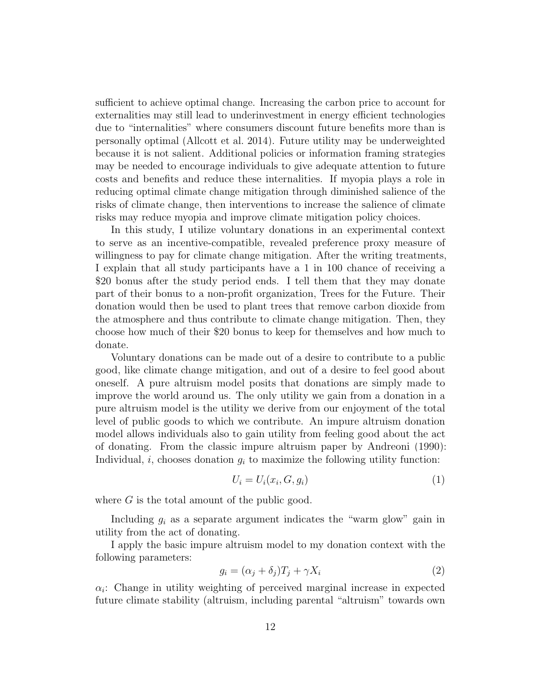sufficient to achieve optimal change. Increasing the carbon price to account for externalities may still lead to underinvestment in energy efficient technologies due to "internalities" where consumers discount future benefits more than is personally optimal [\(Allcott et al. 2014\)](#page-38-7). Future utility may be underweighted because it is not salient. Additional policies or information framing strategies may be needed to encourage individuals to give adequate attention to future costs and benefits and reduce these internalities. If myopia plays a role in reducing optimal climate change mitigation through diminished salience of the risks of climate change, then interventions to increase the salience of climate risks may reduce myopia and improve climate mitigation policy choices.

In this study, I utilize voluntary donations in an experimental context to serve as an incentive-compatible, revealed preference proxy measure of willingness to pay for climate change mitigation. After the writing treatments, I explain that all study participants have a 1 in 100 chance of receiving a \$20 bonus after the study period ends. I tell them that they may donate part of their bonus to a non-profit organization, Trees for the Future. Their donation would then be used to plant trees that remove carbon dioxide from the atmosphere and thus contribute to climate change mitigation. Then, they choose how much of their \$20 bonus to keep for themselves and how much to donate.

Voluntary donations can be made out of a desire to contribute to a public good, like climate change mitigation, and out of a desire to feel good about oneself. A pure altruism model posits that donations are simply made to improve the world around us. The only utility we gain from a donation in a pure altruism model is the utility we derive from our enjoyment of the total level of public goods to which we contribute. An impure altruism donation model allows individuals also to gain utility from feeling good about the act of donating. From the classic impure altruism paper by Andreoni [\(1990\)](#page-38-8): Individual, i, chooses donation  $g_i$  to maximize the following utility function:

$$
U_i = U_i(x_i, G, g_i) \tag{1}
$$

where  $G$  is the total amount of the public good.

Including  $g_i$  as a separate argument indicates the "warm glow" gain in utility from the act of donating.

I apply the basic impure altruism model to my donation context with the following parameters:

$$
g_i = (\alpha_j + \delta_j)T_j + \gamma X_i \tag{2}
$$

 $\alpha_i$ : Change in utility weighting of perceived marginal increase in expected future climate stability (altruism, including parental "altruism" towards own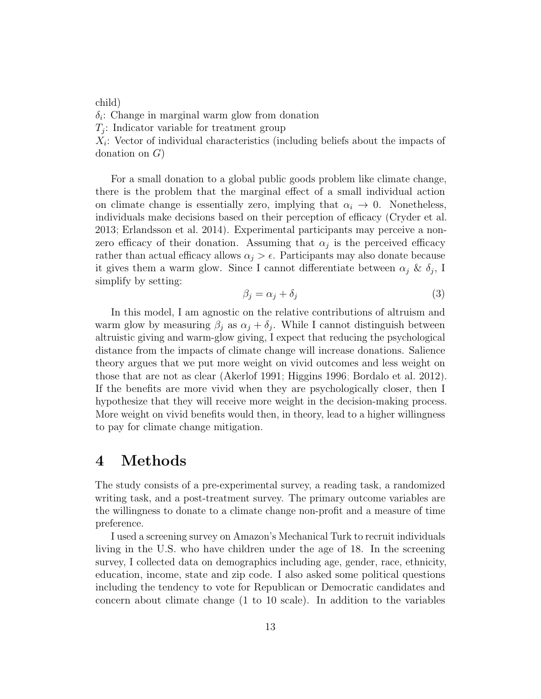child)

 $\delta_i$ : Change in marginal warm glow from donation

 $T_j$ : Indicator variable for treatment group

 $X_i$ : Vector of individual characteristics (including beliefs about the impacts of donation on G)

For a small donation to a global public goods problem like climate change, there is the problem that the marginal effect of a small individual action on climate change is essentially zero, implying that  $\alpha_i \to 0$ . Nonetheless, individuals make decisions based on their perception of efficacy [\(Cryder et al.](#page-39-9) [2013;](#page-39-9) [Erlandsson et al. 2014\)](#page-40-10). Experimental participants may perceive a nonzero efficacy of their donation. Assuming that  $\alpha_j$  is the perceived efficacy rather than actual efficacy allows  $\alpha_j > \epsilon$ . Participants may also donate because it gives them a warm glow. Since I cannot differentiate between  $\alpha_j \& \delta_j$ , I simplify by setting:

$$
\beta_j = \alpha_j + \delta_j \tag{3}
$$

In this model, I am agnostic on the relative contributions of altruism and warm glow by measuring  $\beta_j$  as  $\alpha_j + \delta_j$ . While I cannot distinguish between altruistic giving and warm-glow giving, I expect that reducing the psychological distance from the impacts of climate change will increase donations. Salience theory argues that we put more weight on vivid outcomes and less weight on those that are not as clear [\(Akerlof 1991;](#page-38-0) [Higgins 1996;](#page-41-6) [Bordalo et al. 2012\)](#page-39-1). If the benefits are more vivid when they are psychologically closer, then I hypothesize that they will receive more weight in the decision-making process. More weight on vivid benefits would then, in theory, lead to a higher willingness to pay for climate change mitigation.

### <span id="page-12-0"></span>4 Methods

The study consists of a pre-experimental survey, a reading task, a randomized writing task, and a post-treatment survey. The primary outcome variables are the willingness to donate to a climate change non-profit and a measure of time preference.

I used a screening survey on Amazon's Mechanical Turk to recruit individuals living in the U.S. who have children under the age of 18. In the screening survey, I collected data on demographics including age, gender, race, ethnicity, education, income, state and zip code. I also asked some political questions including the tendency to vote for Republican or Democratic candidates and concern about climate change (1 to 10 scale). In addition to the variables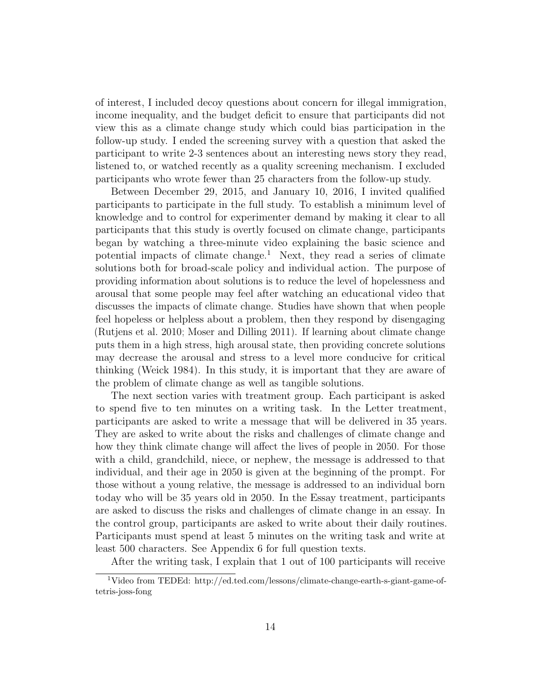of interest, I included decoy questions about concern for illegal immigration, income inequality, and the budget deficit to ensure that participants did not view this as a climate change study which could bias participation in the follow-up study. I ended the screening survey with a question that asked the participant to write 2-3 sentences about an interesting news story they read, listened to, or watched recently as a quality screening mechanism. I excluded participants who wrote fewer than 25 characters from the follow-up study.

Between December 29, 2015, and January 10, 2016, I invited qualified participants to participate in the full study. To establish a minimum level of knowledge and to control for experimenter demand by making it clear to all participants that this study is overtly focused on climate change, participants began by watching a three-minute video explaining the basic science and potential impacts of climate change.<sup>[1](#page-13-0)</sup> Next, they read a series of climate solutions both for broad-scale policy and individual action. The purpose of providing information about solutions is to reduce the level of hopelessness and arousal that some people may feel after watching an educational video that discusses the impacts of climate change. Studies have shown that when people feel hopeless or helpless about a problem, then they respond by disengaging [\(Rutjens et al. 2010;](#page-44-8) [Moser and Dilling 2011\)](#page-43-10). If learning about climate change puts them in a high stress, high arousal state, then providing concrete solutions may decrease the arousal and stress to a level more conducive for critical thinking [\(Weick 1984\)](#page-44-9). In this study, it is important that they are aware of the problem of climate change as well as tangible solutions.

The next section varies with treatment group. Each participant is asked to spend five to ten minutes on a writing task. In the Letter treatment, participants are asked to write a message that will be delivered in 35 years. They are asked to write about the risks and challenges of climate change and how they think climate change will affect the lives of people in 2050. For those with a child, grandchild, niece, or nephew, the message is addressed to that individual, and their age in 2050 is given at the beginning of the prompt. For those without a young relative, the message is addressed to an individual born today who will be 35 years old in 2050. In the Essay treatment, participants are asked to discuss the risks and challenges of climate change in an essay. In the control group, participants are asked to write about their daily routines. Participants must spend at least 5 minutes on the writing task and write at least 500 characters. See Appendix [6](#page-38-9) for full question texts.

<span id="page-13-0"></span>After the writing task, I explain that 1 out of 100 participants will receive

<sup>1</sup>Video from TEDEd: http://ed.ted.com/lessons/climate-change-earth-s-giant-game-oftetris-joss-fong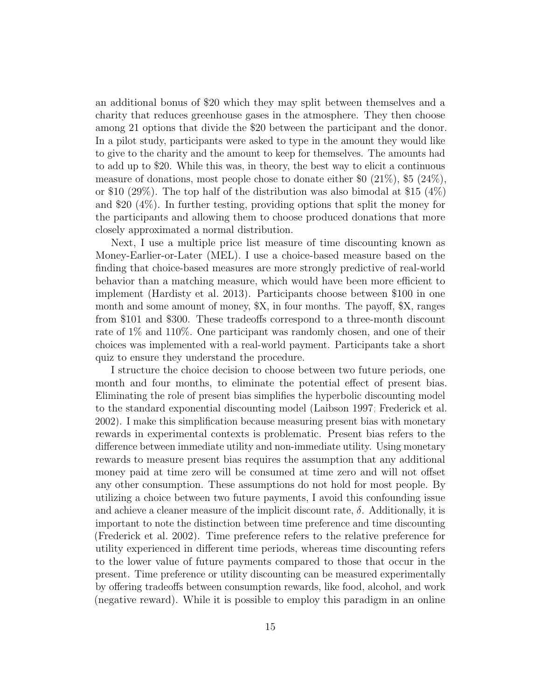an additional bonus of \$20 which they may split between themselves and a charity that reduces greenhouse gases in the atmosphere. They then choose among 21 options that divide the \$20 between the participant and the donor. In a pilot study, participants were asked to type in the amount they would like to give to the charity and the amount to keep for themselves. The amounts had to add up to \$20. While this was, in theory, the best way to elicit a continuous measure of donations, most people chose to donate either \$0 (21%), \$5 (24%), or \$10 (29%). The top half of the distribution was also bimodal at \$15 (4%) and \$20 (4%). In further testing, providing options that split the money for the participants and allowing them to choose produced donations that more closely approximated a normal distribution.

Next, I use a multiple price list measure of time discounting known as Money-Earlier-or-Later (MEL). I use a choice-based measure based on the finding that choice-based measures are more strongly predictive of real-world behavior than a matching measure, which would have been more efficient to implement [\(Hardisty et al. 2013\)](#page-41-7). Participants choose between \$100 in one month and some amount of money, \$X, in four months. The payoff, \$X, ranges from \$101 and \$300. These tradeoffs correspond to a three-month discount rate of 1% and 110%. One participant was randomly chosen, and one of their choices was implemented with a real-world payment. Participants take a short quiz to ensure they understand the procedure.

I structure the choice decision to choose between two future periods, one month and four months, to eliminate the potential effect of present bias. Eliminating the role of present bias simplifies the hyperbolic discounting model to the standard exponential discounting model [\(Laibson 1997;](#page-42-11) [Frederick et al.](#page-40-11) [2002\)](#page-40-11). I make this simplification because measuring present bias with monetary rewards in experimental contexts is problematic. Present bias refers to the difference between immediate utility and non-immediate utility. Using monetary rewards to measure present bias requires the assumption that any additional money paid at time zero will be consumed at time zero and will not offset any other consumption. These assumptions do not hold for most people. By utilizing a choice between two future payments, I avoid this confounding issue and achieve a cleaner measure of the implicit discount rate,  $\delta$ . Additionally, it is important to note the distinction between time preference and time discounting [\(Frederick et al. 2002\)](#page-40-11). Time preference refers to the relative preference for utility experienced in different time periods, whereas time discounting refers to the lower value of future payments compared to those that occur in the present. Time preference or utility discounting can be measured experimentally by offering tradeoffs between consumption rewards, like food, alcohol, and work (negative reward). While it is possible to employ this paradigm in an online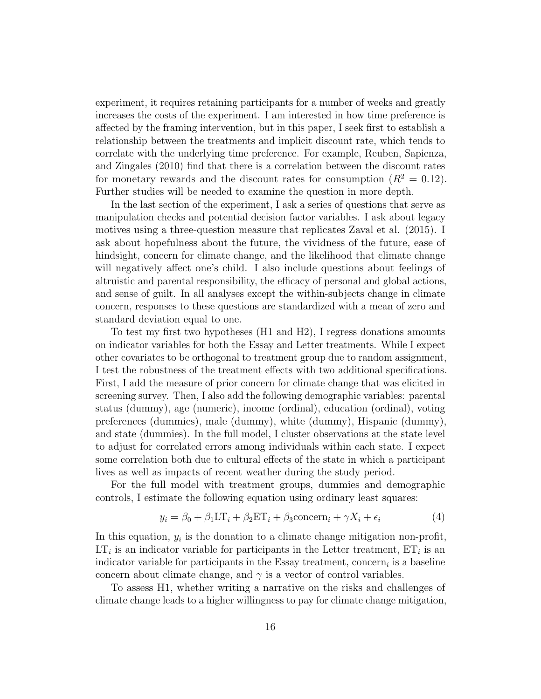experiment, it requires retaining participants for a number of weeks and greatly increases the costs of the experiment. I am interested in how time preference is affected by the framing intervention, but in this paper, I seek first to establish a relationship between the treatments and implicit discount rate, which tends to correlate with the underlying time preference. For example, Reuben, Sapienza, and Zingales [\(2010\)](#page-43-11) find that there is a correlation between the discount rates for monetary rewards and the discount rates for consumption  $(R^2 = 0.12)$ . Further studies will be needed to examine the question in more depth.

In the last section of the experiment, I ask a series of questions that serve as manipulation checks and potential decision factor variables. I ask about legacy motives using a three-question measure that replicates Zaval et al. [\(2015\)](#page-45-0). I ask about hopefulness about the future, the vividness of the future, ease of hindsight, concern for climate change, and the likelihood that climate change will negatively affect one's child. I also include questions about feelings of altruistic and parental responsibility, the efficacy of personal and global actions, and sense of guilt. In all analyses except the within-subjects change in climate concern, responses to these questions are standardized with a mean of zero and standard deviation equal to one.

To test my first two hypotheses (H1 and H2), I regress donations amounts on indicator variables for both the Essay and Letter treatments. While I expect other covariates to be orthogonal to treatment group due to random assignment, I test the robustness of the treatment effects with two additional specifications. First, I add the measure of prior concern for climate change that was elicited in screening survey. Then, I also add the following demographic variables: parental status (dummy), age (numeric), income (ordinal), education (ordinal), voting preferences (dummies), male (dummy), white (dummy), Hispanic (dummy), and state (dummies). In the full model, I cluster observations at the state level to adjust for correlated errors among individuals within each state. I expect some correlation both due to cultural effects of the state in which a participant lives as well as impacts of recent weather during the study period.

For the full model with treatment groups, dummies and demographic controls, I estimate the following equation using ordinary least squares:

<span id="page-15-0"></span>
$$
y_i = \beta_0 + \beta_1 \mathbf{LT}_i + \beta_2 \mathbf{ET}_i + \beta_3 \mathbf{concern}_i + \gamma X_i + \epsilon_i \tag{4}
$$

In this equation,  $y_i$  is the donation to a climate change mitigation non-profit,  $LT_i$  is an indicator variable for participants in the Letter treatment,  $ET_i$  is an indicator variable for participants in the Essay treatment, concern<sub>i</sub> is a baseline concern about climate change, and  $\gamma$  is a vector of control variables.

To assess H1, whether writing a narrative on the risks and challenges of climate change leads to a higher willingness to pay for climate change mitigation,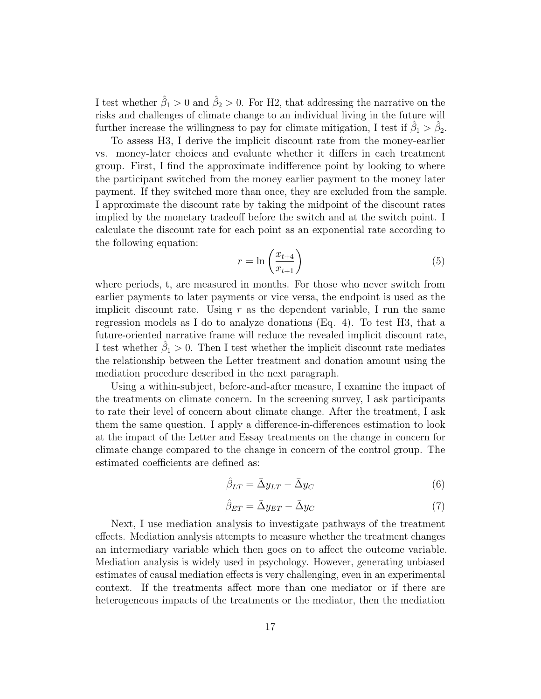I test whether  $\hat{\beta}_1 > 0$  and  $\hat{\beta}_2 > 0$ . For H2, that addressing the narrative on the risks and challenges of climate change to an individual living in the future will further increase the willingness to pay for climate mitigation, I test if  $\hat{\beta}_1 > \hat{\beta}_2$ .

To assess H3, I derive the implicit discount rate from the money-earlier vs. money-later choices and evaluate whether it differs in each treatment group. First, I find the approximate indifference point by looking to where the participant switched from the money earlier payment to the money later payment. If they switched more than once, they are excluded from the sample. I approximate the discount rate by taking the midpoint of the discount rates implied by the monetary tradeoff before the switch and at the switch point. I calculate the discount rate for each point as an exponential rate according to the following equation:

$$
r = \ln\left(\frac{x_{t+4}}{x_{t+1}}\right) \tag{5}
$$

where periods, t, are measured in months. For those who never switch from earlier payments to later payments or vice versa, the endpoint is used as the implicit discount rate. Using  $r$  as the dependent variable, I run the same regression models as I do to analyze donations (Eq. [4\)](#page-15-0). To test H3, that a future-oriented narrative frame will reduce the revealed implicit discount rate, I test whether  $\hat{\beta}_1 > 0$ . Then I test whether the implicit discount rate mediates the relationship between the Letter treatment and donation amount using the mediation procedure described in the next paragraph.

Using a within-subject, before-and-after measure, I examine the impact of the treatments on climate concern. In the screening survey, I ask participants to rate their level of concern about climate change. After the treatment, I ask them the same question. I apply a difference-in-differences estimation to look at the impact of the Letter and Essay treatments on the change in concern for climate change compared to the change in concern of the control group. The estimated coefficients are defined as:

$$
\hat{\beta}_{LT} = \bar{\Delta}y_{LT} - \bar{\Delta}y_C \tag{6}
$$

$$
\hat{\beta}_{ET} = \bar{\Delta}y_{ET} - \bar{\Delta}y_C \tag{7}
$$

Next, I use mediation analysis to investigate pathways of the treatment effects. Mediation analysis attempts to measure whether the treatment changes an intermediary variable which then goes on to affect the outcome variable. Mediation analysis is widely used in psychology. However, generating unbiased estimates of causal mediation effects is very challenging, even in an experimental context. If the treatments affect more than one mediator or if there are heterogeneous impacts of the treatments or the mediator, then the mediation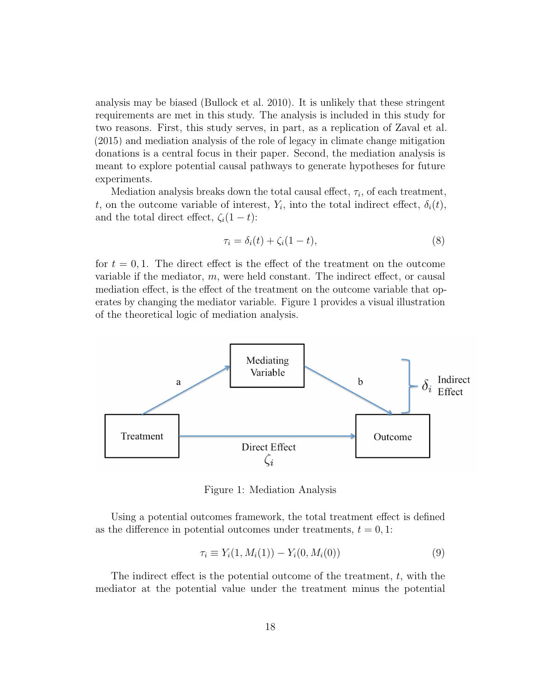analysis may be biased [\(Bullock et al. 2010\)](#page-39-10). It is unlikely that these stringent requirements are met in this study. The analysis is included in this study for two reasons. First, this study serves, in part, as a replication of Zaval et al. [\(2015\)](#page-45-0) and mediation analysis of the role of legacy in climate change mitigation donations is a central focus in their paper. Second, the mediation analysis is meant to explore potential causal pathways to generate hypotheses for future experiments.

Mediation analysis breaks down the total causal effect,  $\tau_i$ , of each treatment, t, on the outcome variable of interest,  $Y_i$ , into the total indirect effect,  $\delta_i(t)$ , and the total direct effect,  $\zeta_i(1-t)$ :

$$
\tau_i = \delta_i(t) + \zeta_i(1-t),\tag{8}
$$

for  $t = 0, 1$ . The direct effect is the effect of the treatment on the outcome variable if the mediator, m, were held constant. The indirect effect, or causal mediation effect, is the effect of the treatment on the outcome variable that operates by changing the mediator variable. Figure [1](#page-17-0) provides a visual illustration of the theoretical logic of mediation analysis.

<span id="page-17-0"></span>

Figure 1: Mediation Analysis

Using a potential outcomes framework, the total treatment effect is defined as the difference in potential outcomes under treatments,  $t = 0, 1$ :

$$
\tau_i \equiv Y_i(1, M_i(1)) - Y_i(0, M_i(0)) \tag{9}
$$

The indirect effect is the potential outcome of the treatment, t, with the mediator at the potential value under the treatment minus the potential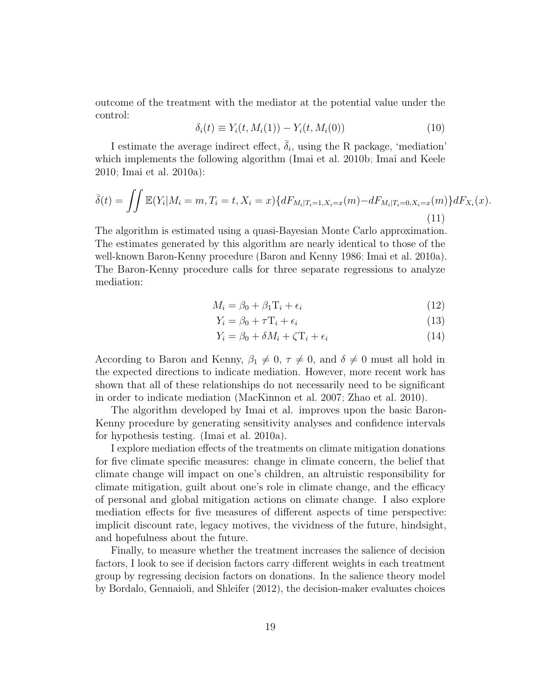outcome of the treatment with the mediator at the potential value under the control:

$$
\delta_i(t) \equiv Y_i(t, M_i(1)) - Y_i(t, M_i(0))
$$
\n(10)

I estimate the average indirect effect,  $\bar{\delta}_i$ , using the R package, 'mediation' which implements the following algorithm [\(Imai et al. 2010b;](#page-41-8) [Imai and Keele](#page-41-9) [2010;](#page-41-9) [Imai et al. 2010a\)](#page-41-10):

$$
\bar{\delta}(t) = \iint \mathbb{E}(Y_i|M_i = m, T_i = t, X_i = x) \{ dF_{M_i|T_i = 1, X_i = x}(m) - dF_{M_i|T_i = 0, X_i = x}(m) \} dF_{X_i}(x).
$$
\n(11)

The algorithm is estimated using a quasi-Bayesian Monte Carlo approximation. The estimates generated by this algorithm are nearly identical to those of the well-known Baron-Kenny procedure [\(Baron and Kenny 1986;](#page-39-11) [Imai et al. 2010a\)](#page-41-10). The Baron-Kenny procedure calls for three separate regressions to analyze mediation:

$$
M_i = \beta_0 + \beta_1 \mathbf{T}_i + \epsilon_i \tag{12}
$$

$$
Y_i = \beta_0 + \tau T_i + \epsilon_i \tag{13}
$$

$$
Y_i = \beta_0 + \delta M_i + \zeta T_i + \epsilon_i \tag{14}
$$

According to Baron and Kenny,  $\beta_1 \neq 0$ ,  $\tau \neq 0$ , and  $\delta \neq 0$  must all hold in the expected directions to indicate mediation. However, more recent work has shown that all of these relationships do not necessarily need to be significant in order to indicate mediation [\(MacKinnon et al. 2007;](#page-42-12) [Zhao et al. 2010\)](#page-45-3).

The algorithm developed by Imai et al. improves upon the basic Baron-Kenny procedure by generating sensitivity analyses and confidence intervals for hypothesis testing. [\(Imai et al. 2010a\)](#page-41-10).

I explore mediation effects of the treatments on climate mitigation donations for five climate specific measures: change in climate concern, the belief that climate change will impact on one's children, an altruistic responsibility for climate mitigation, guilt about one's role in climate change, and the efficacy of personal and global mitigation actions on climate change. I also explore mediation effects for five measures of different aspects of time perspective: implicit discount rate, legacy motives, the vividness of the future, hindsight, and hopefulness about the future.

Finally, to measure whether the treatment increases the salience of decision factors, I look to see if decision factors carry different weights in each treatment group by regressing decision factors on donations. In the salience theory model by Bordalo, Gennaioli, and Shleifer [\(2012\)](#page-39-1), the decision-maker evaluates choices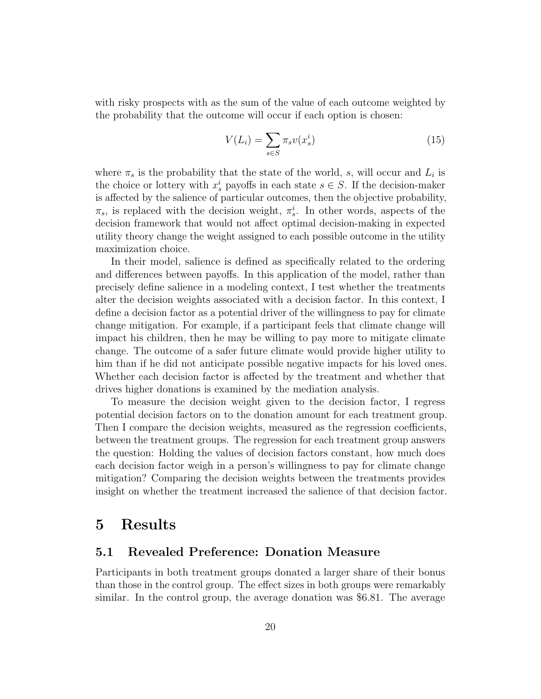with risky prospects with as the sum of the value of each outcome weighted by the probability that the outcome will occur if each option is chosen:

$$
V(L_i) = \sum_{s \in S} \pi_s v(x_s^i)
$$
\n(15)

where  $\pi_s$  is the probability that the state of the world, s, will occur and  $L_i$  is the choice or lottery with  $x_s^i$  payoffs in each state  $s \in S$ . If the decision-maker is affected by the salience of particular outcomes, then the objective probability,  $\pi_s$ , is replaced with the decision weight,  $\pi_s^i$ . In other words, aspects of the decision framework that would not affect optimal decision-making in expected utility theory change the weight assigned to each possible outcome in the utility maximization choice.

In their model, salience is defined as specifically related to the ordering and differences between payoffs. In this application of the model, rather than precisely define salience in a modeling context, I test whether the treatments alter the decision weights associated with a decision factor. In this context, I define a decision factor as a potential driver of the willingness to pay for climate change mitigation. For example, if a participant feels that climate change will impact his children, then he may be willing to pay more to mitigate climate change. The outcome of a safer future climate would provide higher utility to him than if he did not anticipate possible negative impacts for his loved ones. Whether each decision factor is affected by the treatment and whether that drives higher donations is examined by the mediation analysis.

To measure the decision weight given to the decision factor, I regress potential decision factors on to the donation amount for each treatment group. Then I compare the decision weights, measured as the regression coefficients, between the treatment groups. The regression for each treatment group answers the question: Holding the values of decision factors constant, how much does each decision factor weigh in a person's willingness to pay for climate change mitigation? Comparing the decision weights between the treatments provides insight on whether the treatment increased the salience of that decision factor.

## <span id="page-19-0"></span>5 Results

### 5.1 Revealed Preference: Donation Measure

Participants in both treatment groups donated a larger share of their bonus than those in the control group. The effect sizes in both groups were remarkably similar. In the control group, the average donation was \$6.81. The average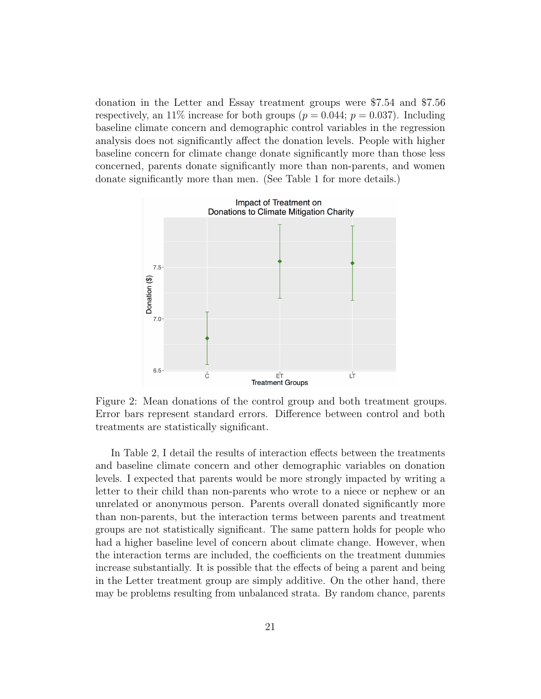donation in the Letter and Essay treatment groups were \$7.54 and \$7.56 respectively, an 11% increase for both groups ( $p = 0.044$ ;  $p = 0.037$ ). Including baseline climate concern and demographic control variables in the regression analysis does not significantly affect the donation levels. People with higher baseline concern for climate change donate significantly more than those less concerned, parents donate significantly more than non-parents, and women donate significantly more than men. (See Table [1](#page-21-0) for more details.)



Figure 2: Mean donations of the control group and both treatment groups. Error bars represent standard errors. Difference between control and both treatments are statistically significant.

In Table [2,](#page-22-0) I detail the results of interaction effects between the treatments and baseline climate concern and other demographic variables on donation levels. I expected that parents would be more strongly impacted by writing a letter to their child than non-parents who wrote to a niece or nephew or an unrelated or anonymous person. Parents overall donated significantly more than non-parents, but the interaction terms between parents and treatment groups are not statistically significant. The same pattern holds for people who had a higher baseline level of concern about climate change. However, when the interaction terms are included, the coefficients on the treatment dummies increase substantially. It is possible that the effects of being a parent and being in the Letter treatment group are simply additive. On the other hand, there may be problems resulting from unbalanced strata. By random chance, parents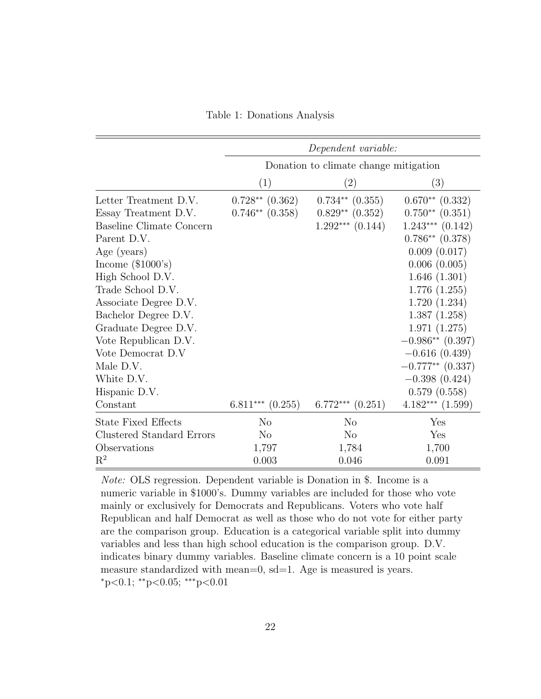Table 1: Donations Analysis

<span id="page-21-0"></span>

|                            |                      | Dependent variable:                   |                      |
|----------------------------|----------------------|---------------------------------------|----------------------|
|                            |                      | Donation to climate change mitigation |                      |
|                            | (1)                  | $\left( 2\right)$                     | (3)                  |
| Letter Treatment D.V.      | $0.728**$ $(0.362)$  | $0.734**$ $(0.355)$                   | $0.670**$ $(0.332)$  |
| Essay Treatment D.V.       | $0.746**$ $(0.358)$  | $0.829**$ $(0.352)$                   | $0.750**$ $(0.351)$  |
| Baseline Climate Concern   |                      | $1.292***$ $(0.144)$                  | $1.243***$ $(0.142)$ |
| Parent D.V.                |                      |                                       | $0.786**$ $(0.378)$  |
| Age (years)                |                      |                                       | 0.009(0.017)         |
| Income $(\$1000's)$        |                      |                                       | 0.006(0.005)         |
| High School D.V.           |                      |                                       | 1.646(1.301)         |
| Trade School D.V.          |                      |                                       | 1.776(1.255)         |
| Associate Degree D.V.      |                      |                                       | 1.720(1.234)         |
| Bachelor Degree D.V.       |                      |                                       | 1.387(1.258)         |
| Graduate Degree D.V.       |                      |                                       | 1.971(1.275)         |
| Vote Republican D.V.       |                      |                                       | $-0.986**$ (0.397)   |
| Vote Democrat D.V          |                      |                                       | $-0.616(0.439)$      |
| Male D.V.                  |                      |                                       | $-0.777**$ (0.337)   |
| White D.V.                 |                      |                                       | $-0.398(0.424)$      |
| Hispanic D.V.              |                      |                                       | 0.579(0.558)         |
| Constant                   | $6.811***$ $(0.255)$ | $6.772***$<br>(0.251)                 | $4.182***$ $(1.599)$ |
| <b>State Fixed Effects</b> | N <sub>o</sub>       | N <sub>o</sub>                        | Yes                  |
| Clustered Standard Errors  | $\rm No$             | N <sub>o</sub>                        | Yes                  |
| Observations               | 1,797                | 1,784                                 | 1,700                |
| $\mathrm{R}^2$             | 0.003                | 0.046                                 | 0.091                |

Note: OLS regression. Dependent variable is Donation in \$. Income is a numeric variable in \$1000's. Dummy variables are included for those who vote mainly or exclusively for Democrats and Republicans. Voters who vote half Republican and half Democrat as well as those who do not vote for either party are the comparison group. Education is a categorical variable split into dummy variables and less than high school education is the comparison group. D.V. indicates binary dummy variables. Baseline climate concern is a 10 point scale measure standardized with mean=0, sd=1. Age is measured is years. <sup>∗</sup>p<0.1; ∗∗p<0.05; ∗∗∗p<0.01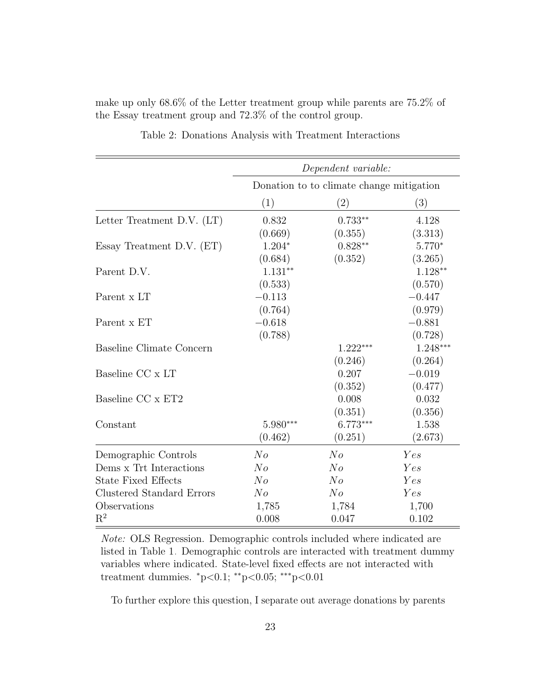|                                  |                | Dependent variable:                      |            |
|----------------------------------|----------------|------------------------------------------|------------|
|                                  |                | Donation to to climate change mitigation |            |
|                                  | (1)            | $\left( 2\right)$                        | (3)        |
| Letter Treatment D.V. $(LT)$     | 0.832          | $0.733**$                                | 4.128      |
|                                  | (0.669)        | (0.355)                                  | (3.313)    |
| Essay Treatment D.V. (ET)        | $1.204*$       | $0.828**$                                | $5.770*$   |
|                                  | (0.684)        | (0.352)                                  | (3.265)    |
| Parent D.V.                      | $1.131**$      |                                          | $1.128**$  |
|                                  | (0.533)        |                                          | (0.570)    |
| Parent x LT                      | $-0.113$       |                                          | $-0.447$   |
|                                  | (0.764)        |                                          | (0.979)    |
| Parent x ET                      | $-0.618$       |                                          | $-0.881$   |
|                                  | (0.788)        |                                          | (0.728)    |
| Baseline Climate Concern         |                | $1.222***$                               | $1.248***$ |
|                                  |                | (0.246)                                  | (0.264)    |
| Baseline CC x LT                 |                | 0.207                                    | $-0.019$   |
|                                  |                | (0.352)                                  | (0.477)    |
| Baseline CC x ET2                |                | 0.008                                    | 0.032      |
|                                  |                | (0.351)                                  | (0.356)    |
| Constant                         | $5.980***$     | $6.773***$                               | 1.538      |
|                                  | (0.462)        | (0.251)                                  | (2.673)    |
| Demographic Controls             | No             | No                                       | Yes        |
| Dems x Trt Interactions          | N <sub>o</sub> | N <sub>o</sub>                           | Yes        |
| <b>State Fixed Effects</b>       | No             | $N_{O}$                                  | Yes        |
| <b>Clustered Standard Errors</b> | $N_{O}$        | N <sub>o</sub>                           | Yes        |
| Observations                     | 1,785          | 1,784                                    | 1,700      |
| $\mathrm{R}^2$                   | 0.008          | 0.047                                    | 0.102      |

Table 2: Donations Analysis with Treatment Interactions

<span id="page-22-0"></span>the Essay treatment group and 72.3% of the control group.

make up only 68.6% of the Letter treatment group while parents are 75.2% of

Note: OLS Regression. Demographic controls included where indicated are listed in Table [1.](#page-21-0) Demographic controls are interacted with treatment dummy variables where indicated. State-level fixed effects are not interacted with treatment dummies. <sup>∗</sup>p<0.1; ∗∗p<0.05; ∗∗∗p<0.01

To further explore this question, I separate out average donations by parents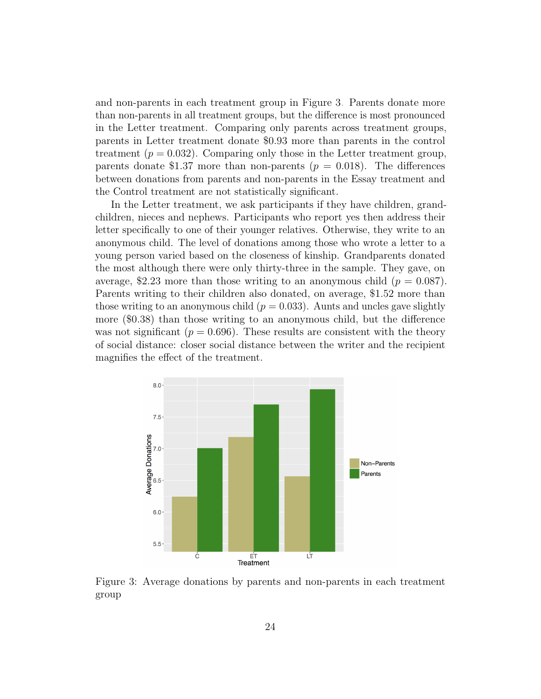and non-parents in each treatment group in Figure [3.](#page-23-0) Parents donate more than non-parents in all treatment groups, but the difference is most pronounced in the Letter treatment. Comparing only parents across treatment groups, parents in Letter treatment donate \$0.93 more than parents in the control treatment ( $p = 0.032$ ). Comparing only those in the Letter treatment group, parents donate \$1.37 more than non-parents ( $p = 0.018$ ). The differences between donations from parents and non-parents in the Essay treatment and the Control treatment are not statistically significant.

In the Letter treatment, we ask participants if they have children, grandchildren, nieces and nephews. Participants who report yes then address their letter specifically to one of their younger relatives. Otherwise, they write to an anonymous child. The level of donations among those who wrote a letter to a young person varied based on the closeness of kinship. Grandparents donated the most although there were only thirty-three in the sample. They gave, on average, \$2.23 more than those writing to an anonymous child  $(p = 0.087)$ . Parents writing to their children also donated, on average, \$1.52 more than those writing to an anonymous child  $(p = 0.033)$ . Aunts and uncles gave slightly more (\$0.38) than those writing to an anonymous child, but the difference was not significant ( $p = 0.696$ ). These results are consistent with the theory of social distance: closer social distance between the writer and the recipient magnifies the effect of the treatment.

<span id="page-23-0"></span>

Figure 3: Average donations by parents and non-parents in each treatment group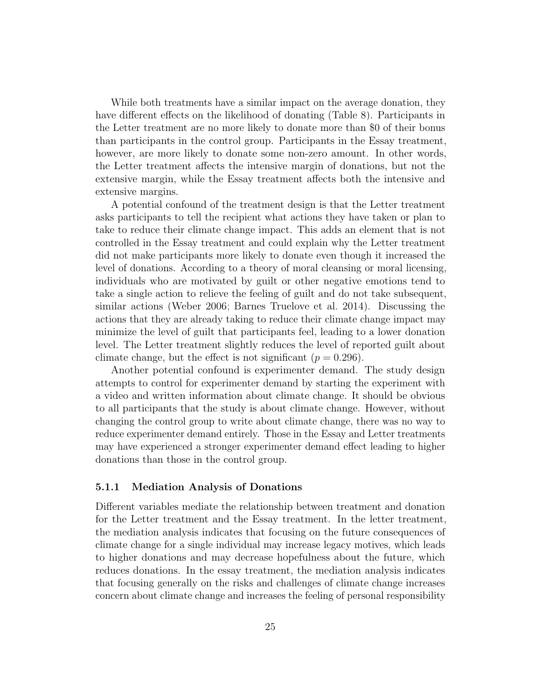While both treatments have a similar impact on the average donation, they have different effects on the likelihood of donating (Table [8\)](#page-46-0). Participants in the Letter treatment are no more likely to donate more than \$0 of their bonus than participants in the control group. Participants in the Essay treatment, however, are more likely to donate some non-zero amount. In other words, the Letter treatment affects the intensive margin of donations, but not the extensive margin, while the Essay treatment affects both the intensive and extensive margins.

A potential confound of the treatment design is that the Letter treatment asks participants to tell the recipient what actions they have taken or plan to take to reduce their climate change impact. This adds an element that is not controlled in the Essay treatment and could explain why the Letter treatment did not make participants more likely to donate even though it increased the level of donations. According to a theory of moral cleansing or moral licensing, individuals who are motivated by guilt or other negative emotions tend to take a single action to relieve the feeling of guilt and do not take subsequent, similar actions [\(Weber 2006;](#page-44-5) [Barnes Truelove et al. 2014\)](#page-38-10). Discussing the actions that they are already taking to reduce their climate change impact may minimize the level of guilt that participants feel, leading to a lower donation level. The Letter treatment slightly reduces the level of reported guilt about climate change, but the effect is not significant ( $p = 0.296$ ).

Another potential confound is experimenter demand. The study design attempts to control for experimenter demand by starting the experiment with a video and written information about climate change. It should be obvious to all participants that the study is about climate change. However, without changing the control group to write about climate change, there was no way to reduce experimenter demand entirely. Those in the Essay and Letter treatments may have experienced a stronger experimenter demand effect leading to higher donations than those in the control group.

#### 5.1.1 Mediation Analysis of Donations

Different variables mediate the relationship between treatment and donation for the Letter treatment and the Essay treatment. In the letter treatment, the mediation analysis indicates that focusing on the future consequences of climate change for a single individual may increase legacy motives, which leads to higher donations and may decrease hopefulness about the future, which reduces donations. In the essay treatment, the mediation analysis indicates that focusing generally on the risks and challenges of climate change increases concern about climate change and increases the feeling of personal responsibility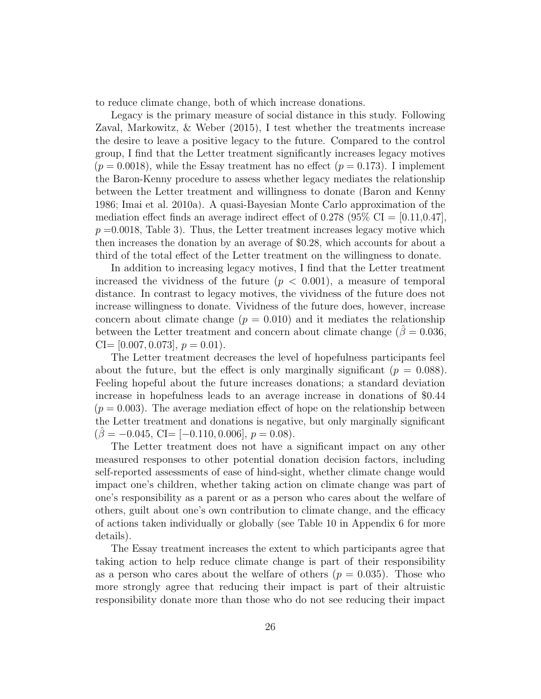to reduce climate change, both of which increase donations.

Legacy is the primary measure of social distance in this study. Following Zaval, Markowitz, & Weber [\(2015\)](#page-45-0), I test whether the treatments increase the desire to leave a positive legacy to the future. Compared to the control group, I find that the Letter treatment significantly increases legacy motives  $(p = 0.0018)$ , while the Essay treatment has no effect  $(p = 0.173)$ . I implement the Baron-Kenny procedure to assess whether legacy mediates the relationship between the Letter treatment and willingness to donate [\(Baron and Kenny](#page-39-11) [1986;](#page-39-11) [Imai et al. 2010a\)](#page-41-10). A quasi-Bayesian Monte Carlo approximation of the mediation effect finds an average indirect effect of 0.278 (95%  $CI = [0.11, 0.47]$ ,  $p = 0.0018$ , Table [3\)](#page-26-0). Thus, the Letter treatment increases legacy motive which then increases the donation by an average of \$0.28, which accounts for about a third of the total effect of the Letter treatment on the willingness to donate.

In addition to increasing legacy motives, I find that the Letter treatment increased the vividness of the future  $(p < 0.001)$ , a measure of temporal distance. In contrast to legacy motives, the vividness of the future does not increase willingness to donate. Vividness of the future does, however, increase concern about climate change  $(p = 0.010)$  and it mediates the relationship between the Letter treatment and concern about climate change ( $\beta = 0.036$ ,  $CI=[0.007, 0.073], p = 0.01$ .

The Letter treatment decreases the level of hopefulness participants feel about the future, but the effect is only marginally significant  $(p = 0.088)$ . Feeling hopeful about the future increases donations; a standard deviation increase in hopefulness leads to an average increase in donations of \$0.44  $(p = 0.003)$ . The average mediation effect of hope on the relationship between the Letter treatment and donations is negative, but only marginally significant  $(\beta = -0.045, \text{ CI} = [-0.110, 0.006], p = 0.08).$ 

The Letter treatment does not have a significant impact on any other measured responses to other potential donation decision factors, including self-reported assessments of ease of hind-sight, whether climate change would impact one's children, whether taking action on climate change was part of one's responsibility as a parent or as a person who cares about the welfare of others, guilt about one's own contribution to climate change, and the efficacy of actions taken individually or globally (see Table [10](#page-48-0) in Appendix [6](#page-38-9) for more details).

The Essay treatment increases the extent to which participants agree that taking action to help reduce climate change is part of their responsibility as a person who cares about the welfare of others  $(p = 0.035)$ . Those who more strongly agree that reducing their impact is part of their altruistic responsibility donate more than those who do not see reducing their impact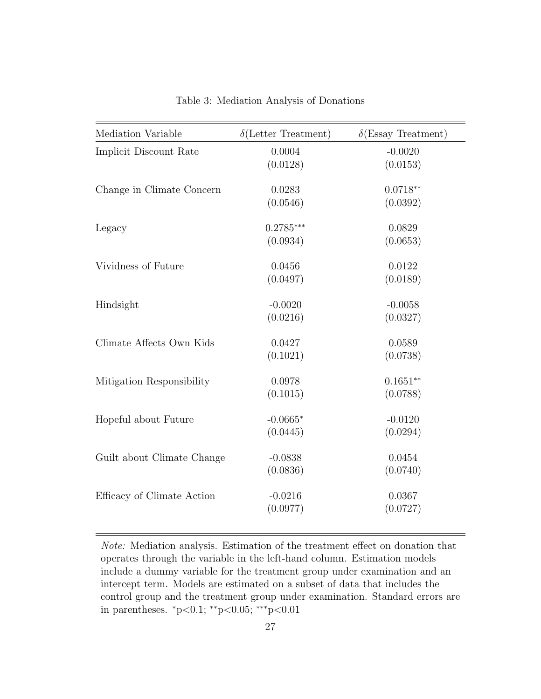<span id="page-26-0"></span>

| Mediation Variable         | $\delta$ (Letter Treatment) | $\delta$ (Essay Treatment) |
|----------------------------|-----------------------------|----------------------------|
| Implicit Discount Rate     | 0.0004                      | $-0.0020$                  |
|                            | (0.0128)                    | (0.0153)                   |
| Change in Climate Concern  | 0.0283                      | $0.0718**$                 |
|                            | (0.0546)                    | (0.0392)                   |
| Legacy                     | $0.2785***$                 | 0.0829                     |
|                            | (0.0934)                    | (0.0653)                   |
| Vividness of Future        | 0.0456                      | 0.0122                     |
|                            | (0.0497)                    | (0.0189)                   |
| Hindsight                  | $-0.0020$                   | $-0.0058$                  |
|                            | (0.0216)                    | (0.0327)                   |
| Climate Affects Own Kids   | 0.0427                      | 0.0589                     |
|                            | (0.1021)                    | (0.0738)                   |
| Mitigation Responsibility  | 0.0978                      | $0.1651**$                 |
|                            | (0.1015)                    | (0.0788)                   |
| Hopeful about Future       | $-0.0665*$                  | $-0.0120$                  |
|                            | (0.0445)                    | (0.0294)                   |
| Guilt about Climate Change | $-0.0838$                   | 0.0454                     |
|                            | (0.0836)                    | (0.0740)                   |
| Efficacy of Climate Action | $-0.0216$                   | 0.0367                     |
|                            | (0.0977)                    | (0.0727)                   |

Table 3: Mediation Analysis of Donations

Note: Mediation analysis. Estimation of the treatment effect on donation that operates through the variable in the left-hand column. Estimation models include a dummy variable for the treatment group under examination and an intercept term. Models are estimated on a subset of data that includes the control group and the treatment group under examination. Standard errors are in parentheses. <sup>∗</sup>p<0.1; ∗∗p<0.05; ∗∗∗p<0.01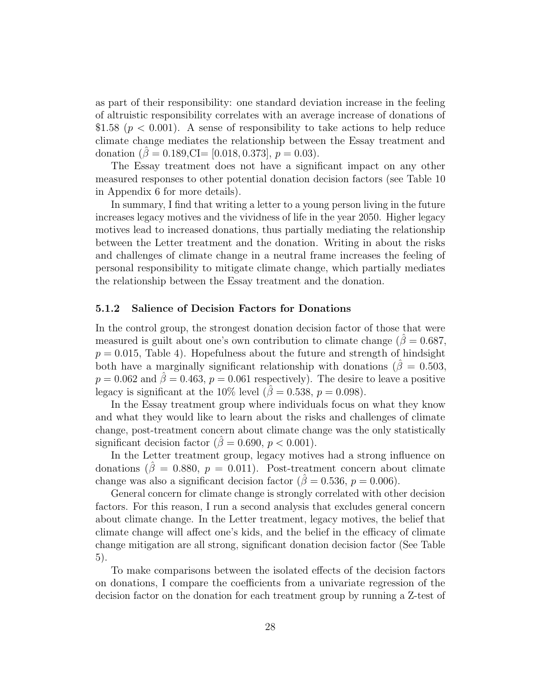as part of their responsibility: one standard deviation increase in the feeling of altruistic responsibility correlates with an average increase of donations of \$1.58 ( $p < 0.001$ ). A sense of responsibility to take actions to help reduce climate change mediates the relationship between the Essay treatment and donation  $(\hat{\beta} = 0.189, \text{CI} = [0.018, 0.373], p = 0.03)$ .

The Essay treatment does not have a significant impact on any other measured responses to other potential donation decision factors (see Table [10](#page-48-0) in Appendix [6](#page-38-9) for more details).

In summary, I find that writing a letter to a young person living in the future increases legacy motives and the vividness of life in the year 2050. Higher legacy motives lead to increased donations, thus partially mediating the relationship between the Letter treatment and the donation. Writing in about the risks and challenges of climate change in a neutral frame increases the feeling of personal responsibility to mitigate climate change, which partially mediates the relationship between the Essay treatment and the donation.

#### 5.1.2 Salience of Decision Factors for Donations

In the control group, the strongest donation decision factor of those that were measured is guilt about one's own contribution to climate change ( $\hat{\beta} = 0.687$ ,  $p = 0.015$ , Table [4\)](#page-29-0). Hopefulness about the future and strength of hindsight both have a marginally significant relationship with donations ( $\hat{\beta} = 0.503$ ,  $p = 0.062$  and  $\hat{\beta} = 0.463$ ,  $p = 0.061$  respectively). The desire to leave a positive legacy is significant at the 10% level ( $\beta = 0.538$ ,  $p = 0.098$ ).

In the Essay treatment group where individuals focus on what they know and what they would like to learn about the risks and challenges of climate change, post-treatment concern about climate change was the only statistically significant decision factor ( $\hat{\beta} = 0.690, p < 0.001$ ).

In the Letter treatment group, legacy motives had a strong influence on donations ( $\hat{\beta} = 0.880, p = 0.011$ ). Post-treatment concern about climate change was also a significant decision factor ( $\hat{\beta} = 0.536$ ,  $p = 0.006$ ).

General concern for climate change is strongly correlated with other decision factors. For this reason, I run a second analysis that excludes general concern about climate change. In the Letter treatment, legacy motives, the belief that climate change will affect one's kids, and the belief in the efficacy of climate change mitigation are all strong, significant donation decision factor (See Table [5\)](#page-30-0).

To make comparisons between the isolated effects of the decision factors on donations, I compare the coefficients from a univariate regression of the decision factor on the donation for each treatment group by running a Z-test of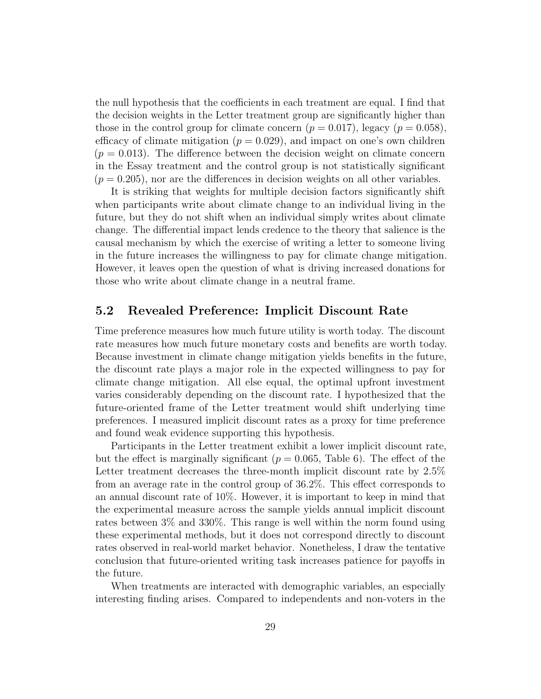the null hypothesis that the coefficients in each treatment are equal. I find that the decision weights in the Letter treatment group are significantly higher than those in the control group for climate concern  $(p = 0.017)$ , legacy  $(p = 0.058)$ , efficacy of climate mitigation ( $p = 0.029$ ), and impact on one's own children  $(p = 0.013)$ . The difference between the decision weight on climate concern in the Essay treatment and the control group is not statistically significant  $(p = 0.205)$ , nor are the differences in decision weights on all other variables.

It is striking that weights for multiple decision factors significantly shift when participants write about climate change to an individual living in the future, but they do not shift when an individual simply writes about climate change. The differential impact lends credence to the theory that salience is the causal mechanism by which the exercise of writing a letter to someone living in the future increases the willingness to pay for climate change mitigation. However, it leaves open the question of what is driving increased donations for those who write about climate change in a neutral frame.

### 5.2 Revealed Preference: Implicit Discount Rate

Time preference measures how much future utility is worth today. The discount rate measures how much future monetary costs and benefits are worth today. Because investment in climate change mitigation yields benefits in the future, the discount rate plays a major role in the expected willingness to pay for climate change mitigation. All else equal, the optimal upfront investment varies considerably depending on the discount rate. I hypothesized that the future-oriented frame of the Letter treatment would shift underlying time preferences. I measured implicit discount rates as a proxy for time preference and found weak evidence supporting this hypothesis.

Participants in the Letter treatment exhibit a lower implicit discount rate, but the effect is marginally significant ( $p = 0.065$ , Table [6\)](#page-33-0). The effect of the Letter treatment decreases the three-month implicit discount rate by 2.5% from an average rate in the control group of 36.2%. This effect corresponds to an annual discount rate of 10%. However, it is important to keep in mind that the experimental measure across the sample yields annual implicit discount rates between 3% and 330%. This range is well within the norm found using these experimental methods, but it does not correspond directly to discount rates observed in real-world market behavior. Nonetheless, I draw the tentative conclusion that future-oriented writing task increases patience for payoffs in the future.

When treatments are interacted with demographic variables, an especially interesting finding arises. Compared to independents and non-voters in the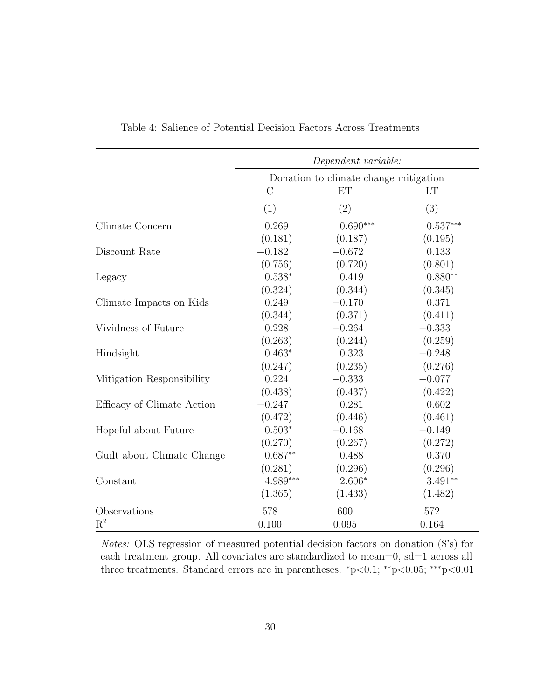|                            |                                       | Dependent variable: |            |
|----------------------------|---------------------------------------|---------------------|------------|
|                            | Donation to climate change mitigation |                     |            |
|                            | $\rm C$                               | <b>ET</b>           | LT         |
|                            | (1)                                   | (2)                 | (3)        |
| Climate Concern            | 0.269                                 | $0.690***$          | $0.537***$ |
|                            | (0.181)                               | (0.187)             | (0.195)    |
| Discount Rate              | $-0.182$                              | $-0.672$            | 0.133      |
|                            | (0.756)                               | (0.720)             | (0.801)    |
| Legacy                     | $0.538*$                              | 0.419               | $0.880**$  |
|                            | (0.324)                               | (0.344)             | (0.345)    |
| Climate Impacts on Kids    | 0.249                                 | $-0.170$            | 0.371      |
|                            | (0.344)                               | (0.371)             | (0.411)    |
| Vividness of Future        | 0.228                                 | $-0.264$            | $-0.333$   |
|                            | (0.263)                               | (0.244)             | (0.259)    |
| Hindsight                  | $0.463*$                              | 0.323               | $-0.248$   |
|                            | (0.247)                               | (0.235)             | (0.276)    |
| Mitigation Responsibility  | 0.224                                 | $-0.333$            | $-0.077$   |
|                            | (0.438)                               | (0.437)             | (0.422)    |
| Efficacy of Climate Action | $-0.247$                              | 0.281               | 0.602      |
|                            | (0.472)                               | (0.446)             | (0.461)    |
| Hopeful about Future       | $0.503*$                              | $-0.168$            | $-0.149$   |
|                            | (0.270)                               | (0.267)             | (0.272)    |
| Guilt about Climate Change | $0.687**$                             | 0.488               | 0.370      |
|                            | (0.281)                               | (0.296)             | (0.296)    |
| Constant                   | 4.989***                              | $2.606*$            | $3.491**$  |
|                            | (1.365)                               | (1.433)             | (1.482)    |
| Observations               | 578                                   | 600                 | 572        |
| $\mathrm{R}^2$             | 0.100                                 | 0.095               | 0.164      |

<span id="page-29-0"></span>Table 4: Salience of Potential Decision Factors Across Treatments

Notes: OLS regression of measured potential decision factors on donation (\$'s) for each treatment group. All covariates are standardized to mean=0, sd=1 across all three treatments. Standard errors are in parentheses.  $\degree$ p<0.1;  $\degree$ <sup>\*</sup>p<0.05;  $\degree$ <sup>\*\*</sup>p<0.01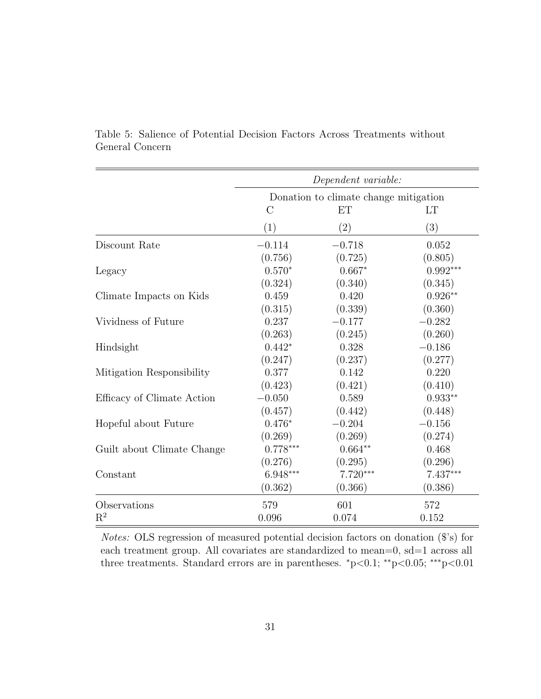|                            | Dependent variable:                   |                   |            |  |
|----------------------------|---------------------------------------|-------------------|------------|--|
|                            | Donation to climate change mitigation |                   |            |  |
|                            | <b>ET</b><br><b>LT</b><br>$\rm C$     |                   |            |  |
|                            | (1)                                   | $\left( 2\right)$ | (3)        |  |
| Discount Rate              | $-0.114$                              | $-0.718$          | 0.052      |  |
|                            | (0.756)                               | (0.725)           | (0.805)    |  |
| Legacy                     | $0.570*$                              | $0.667*$          | $0.992***$ |  |
|                            | (0.324)                               | (0.340)           | (0.345)    |  |
| Climate Impacts on Kids    | 0.459                                 | 0.420             | $0.926**$  |  |
|                            | (0.315)                               | (0.339)           | (0.360)    |  |
| Vividness of Future        | 0.237                                 | $-0.177$          | $-0.282$   |  |
|                            | (0.263)                               | (0.245)           | (0.260)    |  |
| Hindsight                  | $0.442*$                              | 0.328             | $-0.186$   |  |
|                            | (0.247)                               | (0.237)           | (0.277)    |  |
| Mitigation Responsibility  | 0.377                                 | 0.142             | 0.220      |  |
|                            | (0.423)                               | (0.421)           | (0.410)    |  |
| Efficacy of Climate Action | $-0.050$                              | 0.589             | $0.933**$  |  |
|                            | (0.457)                               | (0.442)           | (0.448)    |  |
| Hopeful about Future       | $0.476*$                              | $-0.204$          | $-0.156$   |  |
|                            | (0.269)                               | (0.269)           | (0.274)    |  |
| Guilt about Climate Change | $0.778***$                            | $0.664**$         | 0.468      |  |
|                            | (0.276)                               | (0.295)           | (0.296)    |  |
| Constant                   | 6.948***                              | $7.720***$        | 7.437***   |  |
|                            | (0.362)                               | (0.366)           | (0.386)    |  |
| Observations               | 579                                   | 601               | 572        |  |
| $R^2$                      | 0.096                                 | 0.074             | 0.152      |  |

<span id="page-30-0"></span>Table 5: Salience of Potential Decision Factors Across Treatments without General Concern

Notes: OLS regression of measured potential decision factors on donation (\$'s) for each treatment group. All covariates are standardized to mean=0, sd=1 across all three treatments. Standard errors are in parentheses. <sup>∗</sup>p<0.1; ∗∗p<0.05; ∗∗∗p<0.01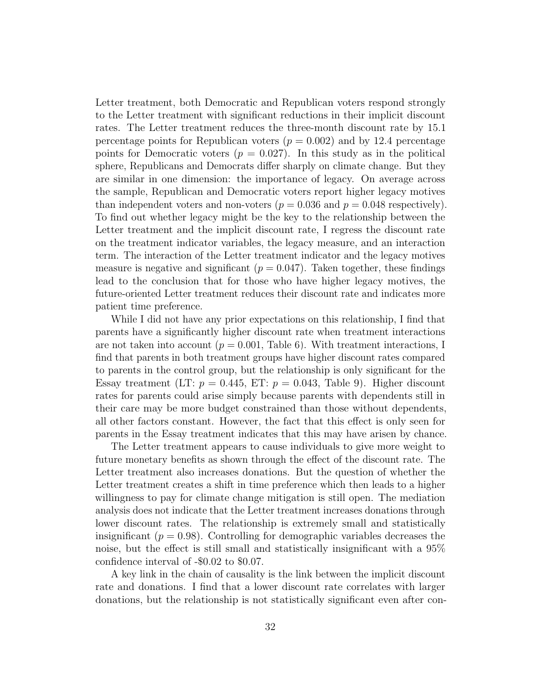Letter treatment, both Democratic and Republican voters respond strongly to the Letter treatment with significant reductions in their implicit discount rates. The Letter treatment reduces the three-month discount rate by 15.1 percentage points for Republican voters  $(p = 0.002)$  and by 12.4 percentage points for Democratic voters ( $p = 0.027$ ). In this study as in the political sphere, Republicans and Democrats differ sharply on climate change. But they are similar in one dimension: the importance of legacy. On average across the sample, Republican and Democratic voters report higher legacy motives than independent voters and non-voters ( $p = 0.036$  and  $p = 0.048$  respectively). To find out whether legacy might be the key to the relationship between the Letter treatment and the implicit discount rate, I regress the discount rate on the treatment indicator variables, the legacy measure, and an interaction term. The interaction of the Letter treatment indicator and the legacy motives measure is negative and significant  $(p = 0.047)$ . Taken together, these findings lead to the conclusion that for those who have higher legacy motives, the future-oriented Letter treatment reduces their discount rate and indicates more patient time preference.

While I did not have any prior expectations on this relationship, I find that parents have a significantly higher discount rate when treatment interactions are not taken into account ( $p = 0.001$ , Table [6\)](#page-33-0). With treatment interactions, I find that parents in both treatment groups have higher discount rates compared to parents in the control group, but the relationship is only significant for the Essay treatment (LT:  $p = 0.445$ , ET:  $p = 0.043$ , Table [9\)](#page-47-0). Higher discount rates for parents could arise simply because parents with dependents still in their care may be more budget constrained than those without dependents, all other factors constant. However, the fact that this effect is only seen for parents in the Essay treatment indicates that this may have arisen by chance.

The Letter treatment appears to cause individuals to give more weight to future monetary benefits as shown through the effect of the discount rate. The Letter treatment also increases donations. But the question of whether the Letter treatment creates a shift in time preference which then leads to a higher willingness to pay for climate change mitigation is still open. The mediation analysis does not indicate that the Letter treatment increases donations through lower discount rates. The relationship is extremely small and statistically insignificant ( $p = 0.98$ ). Controlling for demographic variables decreases the noise, but the effect is still small and statistically insignificant with a 95% confidence interval of -\$0.02 to \$0.07.

A key link in the chain of causality is the link between the implicit discount rate and donations. I find that a lower discount rate correlates with larger donations, but the relationship is not statistically significant even after con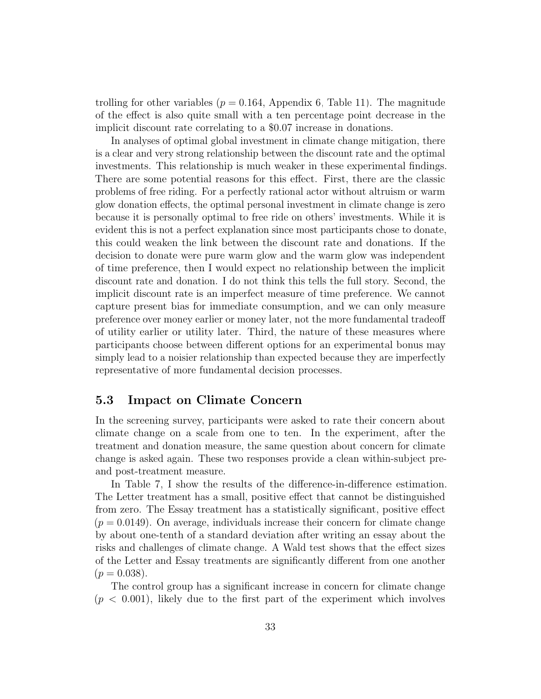trolling for other variables ( $p = 0.164$ , Appendix [6,](#page-38-9) Table [11\)](#page-49-0). The magnitude of the effect is also quite small with a ten percentage point decrease in the implicit discount rate correlating to a \$0.07 increase in donations.

In analyses of optimal global investment in climate change mitigation, there is a clear and very strong relationship between the discount rate and the optimal investments. This relationship is much weaker in these experimental findings. There are some potential reasons for this effect. First, there are the classic problems of free riding. For a perfectly rational actor without altruism or warm glow donation effects, the optimal personal investment in climate change is zero because it is personally optimal to free ride on others' investments. While it is evident this is not a perfect explanation since most participants chose to donate, this could weaken the link between the discount rate and donations. If the decision to donate were pure warm glow and the warm glow was independent of time preference, then I would expect no relationship between the implicit discount rate and donation. I do not think this tells the full story. Second, the implicit discount rate is an imperfect measure of time preference. We cannot capture present bias for immediate consumption, and we can only measure preference over money earlier or money later, not the more fundamental tradeoff of utility earlier or utility later. Third, the nature of these measures where participants choose between different options for an experimental bonus may simply lead to a noisier relationship than expected because they are imperfectly representative of more fundamental decision processes.

### 5.3 Impact on Climate Concern

In the screening survey, participants were asked to rate their concern about climate change on a scale from one to ten. In the experiment, after the treatment and donation measure, the same question about concern for climate change is asked again. These two responses provide a clean within-subject preand post-treatment measure.

In Table [7,](#page-34-1) I show the results of the difference-in-difference estimation. The Letter treatment has a small, positive effect that cannot be distinguished from zero. The Essay treatment has a statistically significant, positive effect  $(p = 0.0149)$ . On average, individuals increase their concern for climate change by about one-tenth of a standard deviation after writing an essay about the risks and challenges of climate change. A Wald test shows that the effect sizes of the Letter and Essay treatments are significantly different from one another  $(p = 0.038)$ .

The control group has a significant increase in concern for climate change  $(p < 0.001)$ , likely due to the first part of the experiment which involves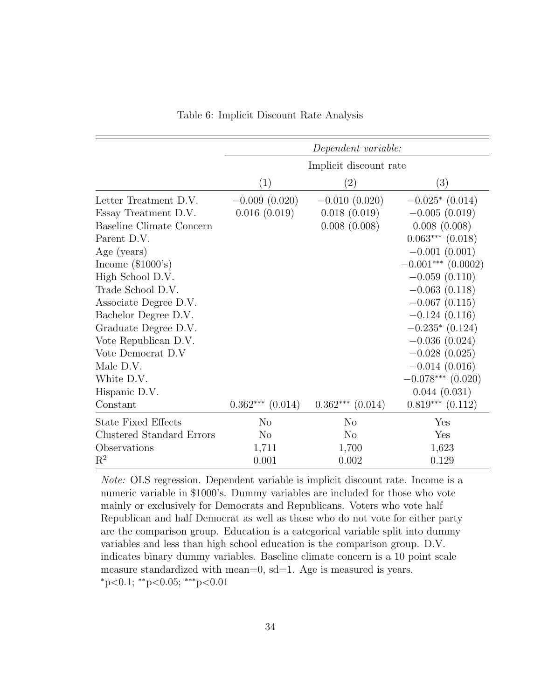<span id="page-33-0"></span>

|                            |                       | Dependent variable:    |                      |
|----------------------------|-----------------------|------------------------|----------------------|
|                            |                       | Implicit discount rate |                      |
|                            | (1)                   | $\left( 2\right)$      | $\left(3\right)$     |
| Letter Treatment D.V.      | $-0.009(0.020)$       | $-0.010(0.020)$        | $-0.025*(0.014)$     |
| Essay Treatment D.V.       | 0.016(0.019)          | 0.018(0.019)           | $-0.005(0.019)$      |
| Baseline Climate Concern   |                       | 0.008(0.008)           | 0.008(0.008)         |
| Parent D.V.                |                       |                        | $0.063***$ $(0.018)$ |
| Age (years)                |                       |                        | $-0.001(0.001)$      |
| Income $(\$1000's)$        |                       |                        | $-0.001***$ (0.0002) |
| High School D.V.           |                       |                        | $-0.059(0.110)$      |
| Trade School D.V.          |                       |                        | $-0.063(0.118)$      |
| Associate Degree D.V.      |                       |                        | $-0.067(0.115)$      |
| Bachelor Degree D.V.       |                       |                        | $-0.124(0.116)$      |
| Graduate Degree D.V.       |                       |                        | $-0.235*(0.124)$     |
| Vote Republican D.V.       |                       |                        | $-0.036(0.024)$      |
| Vote Democrat D.V          |                       |                        | $-0.028(0.025)$      |
| Male D.V.                  |                       |                        | $-0.014(0.016)$      |
| White D.V.                 |                       |                        | $-0.078***$ (0.020)  |
| Hispanic D.V.              |                       |                        | 0.044(0.031)         |
| Constant                   | $0.362***$<br>(0.014) | $0.362***$<br>(0.014)  | $0.819***$ $(0.112)$ |
| <b>State Fixed Effects</b> | N <sub>o</sub>        | N <sub>o</sub>         | Yes                  |
| Clustered Standard Errors  | N <sub>o</sub>        | N <sub>o</sub>         | Yes                  |
| Observations               | 1,711                 | 1,700                  | 1,623                |
| $\mathrm{R}^2$             | 0.001                 | 0.002                  | 0.129                |

Table 6: Implicit Discount Rate Analysis

Note: OLS regression. Dependent variable is implicit discount rate. Income is a numeric variable in \$1000's. Dummy variables are included for those who vote mainly or exclusively for Democrats and Republicans. Voters who vote half Republican and half Democrat as well as those who do not vote for either party are the comparison group. Education is a categorical variable split into dummy variables and less than high school education is the comparison group. D.V. indicates binary dummy variables. Baseline climate concern is a 10 point scale measure standardized with mean=0, sd=1. Age is measured is years. <sup>∗</sup>p<0.1; ∗∗p<0.05; ∗∗∗p<0.01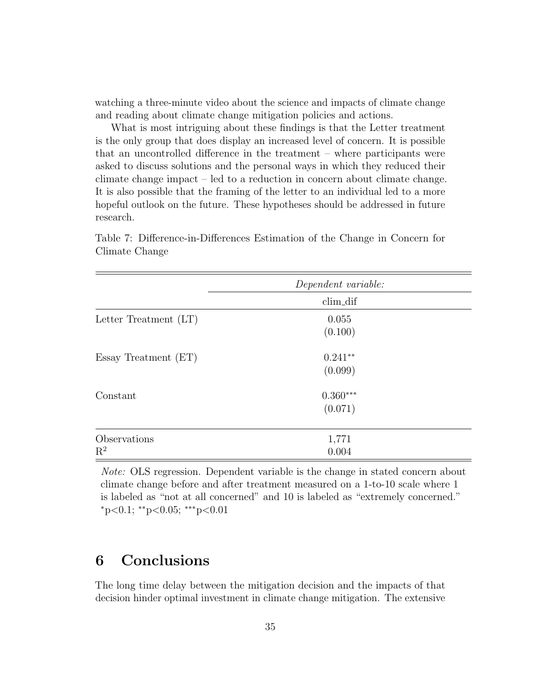watching a three-minute video about the science and impacts of climate change and reading about climate change mitigation policies and actions.

What is most intriguing about these findings is that the Letter treatment is the only group that does display an increased level of concern. It is possible that an uncontrolled difference in the treatment – where participants were asked to discuss solutions and the personal ways in which they reduced their climate change impact – led to a reduction in concern about climate change. It is also possible that the framing of the letter to an individual led to a more hopeful outlook on the future. These hypotheses should be addressed in future research.

| Climate Change |  |  |
|----------------|--|--|
|                |  |  |
|                |  |  |

<span id="page-34-1"></span>Table 7: Difference-in-Differences Estimation of the Change in Concern for

|                         | Dependent variable: |  |  |
|-------------------------|---------------------|--|--|
|                         | clim_dif            |  |  |
| Letter Treatment $(LT)$ | 0.055               |  |  |
|                         | (0.100)             |  |  |
| Essay Treatment (ET)    | $0.241**$           |  |  |
|                         | (0.099)             |  |  |
| Constant                | $0.360***$          |  |  |
|                         | (0.071)             |  |  |
| Observations            | 1,771               |  |  |
| $\mathbf{R}^2$          | 0.004               |  |  |

Note: OLS regression. Dependent variable is the change in stated concern about climate change before and after treatment measured on a 1-to-10 scale where 1 is labeled as "not at all concerned" and 10 is labeled as "extremely concerned."  $*_{p<0.1; *_{p<0.05; *_{p<0.01}}$ 

## <span id="page-34-0"></span>6 Conclusions

The long time delay between the mitigation decision and the impacts of that decision hinder optimal investment in climate change mitigation. The extensive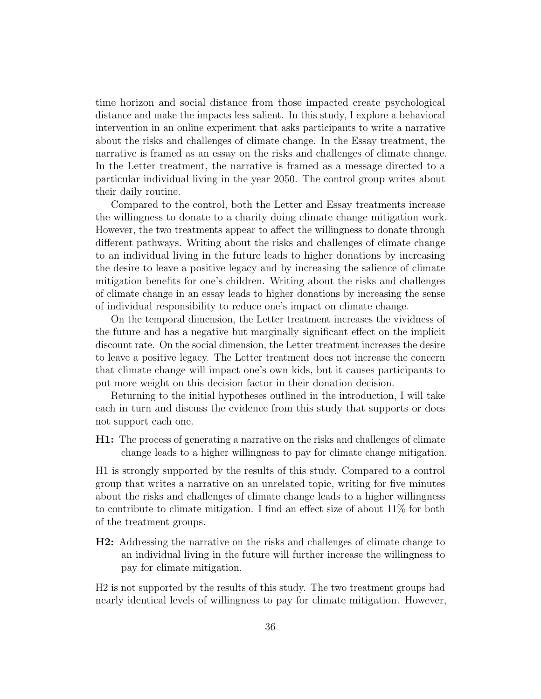time horizon and social distance from those impacted create psychological distance and make the impacts less salient. In this study, I explore a behavioral intervention in an online experiment that asks participants to write a narrative about the risks and challenges of climate change. In the Essay treatment, the narrative is framed as an essay on the risks and challenges of climate change. In the Letter treatment, the narrative is framed as a message directed to a particular individual living in the year 2050. The control group writes about their daily routine.

Compared to the control, both the Letter and Essay treatments increase the willingness to donate to a charity doing climate change mitigation work. However, the two treatments appear to affect the willingness to donate through different pathways. Writing about the risks and challenges of climate change to an individual living in the future leads to higher donations by increasing the desire to leave a positive legacy and by increasing the salience of climate mitigation benefits for one's children. Writing about the risks and challenges of climate change in an essay leads to higher donations by increasing the sense of individual responsibility to reduce one's impact on climate change.

On the temporal dimension, the Letter treatment increases the vividness of the future and has a negative but marginally significant effect on the implicit discount rate. On the social dimension, the Letter treatment increases the desire to leave a positive legacy. The Letter treatment does not increase the concern that climate change will impact one's own kids, but it causes participants to put more weight on this decision factor in their donation decision.

Returning to the initial hypotheses outlined in the introduction, I will take each in turn and discuss the evidence from this study that supports or does not support each one.

H1: The process of generating a narrative on the risks and challenges of climate change leads to a higher willingness to pay for climate change mitigation.

H1 is strongly supported by the results of this study. Compared to a control group that writes a narrative on an unrelated topic, writing for five minutes about the risks and challenges of climate change leads to a higher willingness to contribute to climate mitigation. I find an effect size of about 11% for both of the treatment groups.

H2: Addressing the narrative on the risks and challenges of climate change to an individual living in the future will further increase the willingness to pay for climate mitigation.

H2 is not supported by the results of this study. The two treatment groups had nearly identical levels of willingness to pay for climate mitigation. However,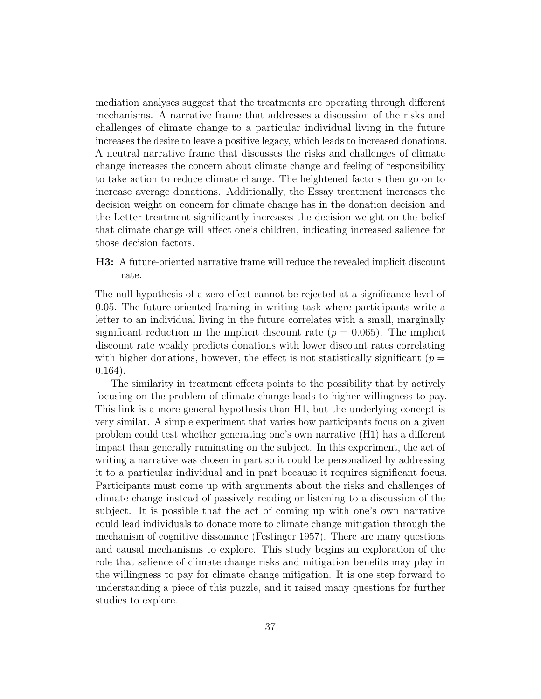mediation analyses suggest that the treatments are operating through different mechanisms. A narrative frame that addresses a discussion of the risks and challenges of climate change to a particular individual living in the future increases the desire to leave a positive legacy, which leads to increased donations. A neutral narrative frame that discusses the risks and challenges of climate change increases the concern about climate change and feeling of responsibility to take action to reduce climate change. The heightened factors then go on to increase average donations. Additionally, the Essay treatment increases the decision weight on concern for climate change has in the donation decision and the Letter treatment significantly increases the decision weight on the belief that climate change will affect one's children, indicating increased salience for those decision factors.

H3: A future-oriented narrative frame will reduce the revealed implicit discount rate.

The null hypothesis of a zero effect cannot be rejected at a significance level of 0.05. The future-oriented framing in writing task where participants write a letter to an individual living in the future correlates with a small, marginally significant reduction in the implicit discount rate  $(p = 0.065)$ . The implicit discount rate weakly predicts donations with lower discount rates correlating with higher donations, however, the effect is not statistically significant ( $p =$ 0.164).

The similarity in treatment effects points to the possibility that by actively focusing on the problem of climate change leads to higher willingness to pay. This link is a more general hypothesis than H1, but the underlying concept is very similar. A simple experiment that varies how participants focus on a given problem could test whether generating one's own narrative (H1) has a different impact than generally ruminating on the subject. In this experiment, the act of writing a narrative was chosen in part so it could be personalized by addressing it to a particular individual and in part because it requires significant focus. Participants must come up with arguments about the risks and challenges of climate change instead of passively reading or listening to a discussion of the subject. It is possible that the act of coming up with one's own narrative could lead individuals to donate more to climate change mitigation through the mechanism of cognitive dissonance [\(Festinger 1957\)](#page-40-12). There are many questions and causal mechanisms to explore. This study begins an exploration of the role that salience of climate change risks and mitigation benefits may play in the willingness to pay for climate change mitigation. It is one step forward to understanding a piece of this puzzle, and it raised many questions for further studies to explore.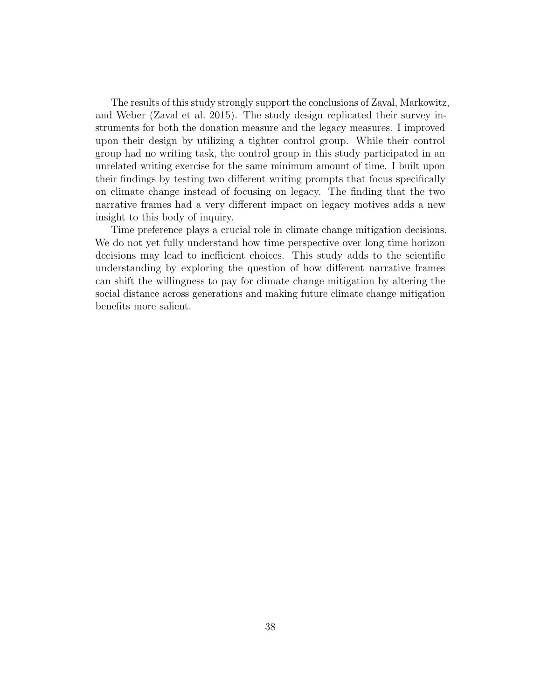The results of this study strongly support the conclusions of Zaval, Markowitz, and Weber [\(Zaval et al. 2015\)](#page-45-0). The study design replicated their survey instruments for both the donation measure and the legacy measures. I improved upon their design by utilizing a tighter control group. While their control group had no writing task, the control group in this study participated in an unrelated writing exercise for the same minimum amount of time. I built upon their findings by testing two different writing prompts that focus specifically on climate change instead of focusing on legacy. The finding that the two narrative frames had a very different impact on legacy motives adds a new insight to this body of inquiry.

Time preference plays a crucial role in climate change mitigation decisions. We do not yet fully understand how time perspective over long time horizon decisions may lead to inefficient choices. This study adds to the scientific understanding by exploring the question of how different narrative frames can shift the willingness to pay for climate change mitigation by altering the social distance across generations and making future climate change mitigation benefits more salient.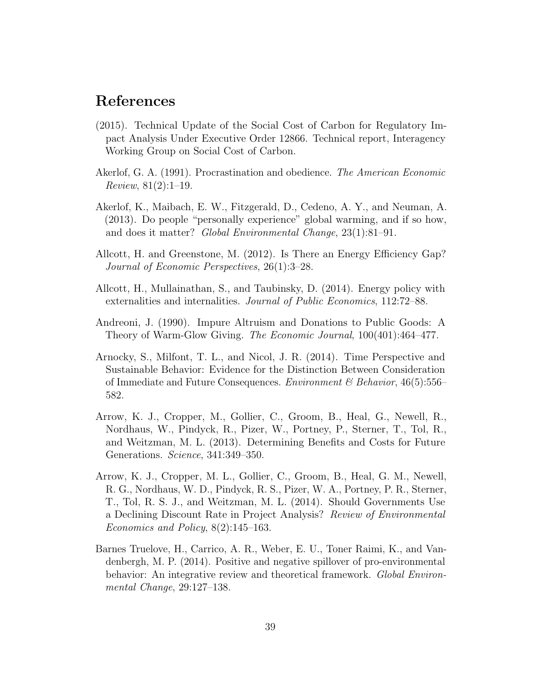## <span id="page-38-9"></span>References

- <span id="page-38-4"></span>(2015). Technical Update of the Social Cost of Carbon for Regulatory Impact Analysis Under Executive Order 12866. Technical report, Interagency Working Group on Social Cost of Carbon.
- <span id="page-38-0"></span>Akerlof, G. A. (1991). Procrastination and obedience. The American Economic Review, 81(2):1–19.
- <span id="page-38-3"></span>Akerlof, K., Maibach, E. W., Fitzgerald, D., Cedeno, A. Y., and Neuman, A. (2013). Do people "personally experience" global warming, and if so how, and does it matter? Global Environmental Change, 23(1):81–91.
- <span id="page-38-1"></span>Allcott, H. and Greenstone, M. (2012). Is There an Energy Efficiency Gap? Journal of Economic Perspectives, 26(1):3–28.
- <span id="page-38-7"></span>Allcott, H., Mullainathan, S., and Taubinsky, D. (2014). Energy policy with externalities and internalities. Journal of Public Economics, 112:72–88.
- <span id="page-38-8"></span>Andreoni, J. (1990). Impure Altruism and Donations to Public Goods: A Theory of Warm-Glow Giving. The Economic Journal, 100(401):464–477.
- <span id="page-38-2"></span>Arnocky, S., Milfont, T. L., and Nicol, J. R. (2014). Time Perspective and Sustainable Behavior: Evidence for the Distinction Between Consideration of Immediate and Future Consequences. *Environment*  $\mathscr B$  Behavior, 46(5):556– 582.
- <span id="page-38-5"></span>Arrow, K. J., Cropper, M., Gollier, C., Groom, B., Heal, G., Newell, R., Nordhaus, W., Pindyck, R., Pizer, W., Portney, P., Sterner, T., Tol, R., and Weitzman, M. L. (2013). Determining Benefits and Costs for Future Generations. Science, 341:349–350.
- <span id="page-38-6"></span>Arrow, K. J., Cropper, M. L., Gollier, C., Groom, B., Heal, G. M., Newell, R. G., Nordhaus, W. D., Pindyck, R. S., Pizer, W. A., Portney, P. R., Sterner, T., Tol, R. S. J., and Weitzman, M. L. (2014). Should Governments Use a Declining Discount Rate in Project Analysis? Review of Environmental Economics and Policy, 8(2):145–163.
- <span id="page-38-10"></span>Barnes Truelove, H., Carrico, A. R., Weber, E. U., Toner Raimi, K., and Vandenbergh, M. P. (2014). Positive and negative spillover of pro-environmental behavior: An integrative review and theoretical framework. Global Environmental Change, 29:127–138.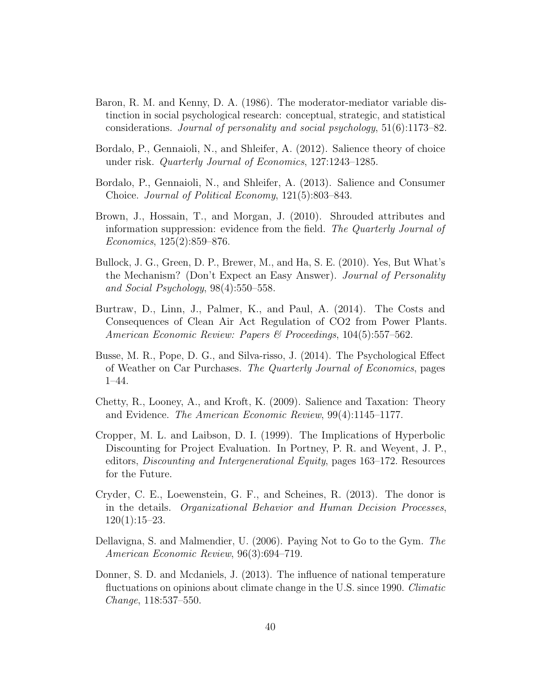- <span id="page-39-11"></span>Baron, R. M. and Kenny, D. A. (1986). The moderator-mediator variable distinction in social psychological research: conceptual, strategic, and statistical considerations. Journal of personality and social psychology, 51(6):1173–82.
- <span id="page-39-1"></span>Bordalo, P., Gennaioli, N., and Shleifer, A. (2012). Salience theory of choice under risk. Quarterly Journal of Economics, 127:1243–1285.
- <span id="page-39-2"></span>Bordalo, P., Gennaioli, N., and Shleifer, A. (2013). Salience and Consumer Choice. Journal of Political Economy, 121(5):803–843.
- <span id="page-39-4"></span>Brown, J., Hossain, T., and Morgan, J. (2010). Shrouded attributes and information suppression: evidence from the field. The Quarterly Journal of Economics, 125(2):859–876.
- <span id="page-39-10"></span>Bullock, J. G., Green, D. P., Brewer, M., and Ha, S. E. (2010). Yes, But What's the Mechanism? (Don't Expect an Easy Answer). Journal of Personality and Social Psychology, 98(4):550–558.
- <span id="page-39-7"></span>Burtraw, D., Linn, J., Palmer, K., and Paul, A. (2014). The Costs and Consequences of Clean Air Act Regulation of CO2 from Power Plants. American Economic Review: Papers & Proceedings, 104(5):557–562.
- <span id="page-39-5"></span>Busse, M. R., Pope, D. G., and Silva-risso, J. (2014). The Psychological Effect of Weather on Car Purchases. The Quarterly Journal of Economics, pages 1–44.
- <span id="page-39-3"></span>Chetty, R., Looney, A., and Kroft, K. (2009). Salience and Taxation: Theory and Evidence. The American Economic Review, 99(4):1145–1177.
- <span id="page-39-8"></span>Cropper, M. L. and Laibson, D. I. (1999). The Implications of Hyperbolic Discounting for Project Evaluation. In Portney, P. R. and Weyent, J. P., editors, Discounting and Intergenerational Equity, pages 163–172. Resources for the Future.
- <span id="page-39-9"></span>Cryder, C. E., Loewenstein, G. F., and Scheines, R. (2013). The donor is in the details. Organizational Behavior and Human Decision Processes,  $120(1):15–23.$
- <span id="page-39-0"></span>Dellavigna, S. and Malmendier, U. (2006). Paying Not to Go to the Gym. The American Economic Review, 96(3):694–719.
- <span id="page-39-6"></span>Donner, S. D. and Mcdaniels, J. (2013). The influence of national temperature fluctuations on opinions about climate change in the U.S. since 1990. Climatic Change, 118:537–550.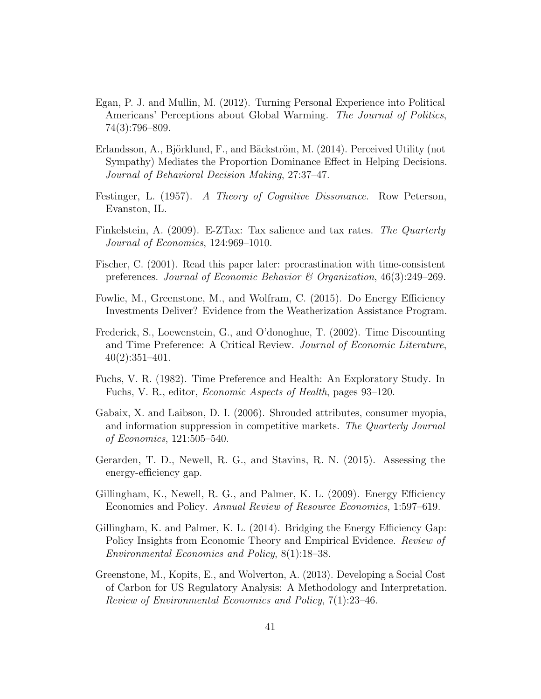- <span id="page-40-4"></span>Egan, P. J. and Mullin, M. (2012). Turning Personal Experience into Political Americans' Perceptions about Global Warming. The Journal of Politics, 74(3):796–809.
- <span id="page-40-10"></span>Erlandsson, A., Björklund, F., and Bäckström, M. (2014). Perceived Utility (not Sympathy) Mediates the Proportion Dominance Effect in Helping Decisions. Journal of Behavioral Decision Making, 27:37–47.
- <span id="page-40-12"></span>Festinger, L. (1957). A Theory of Cognitive Dissonance. Row Peterson, Evanston, IL.
- <span id="page-40-3"></span>Finkelstein, A. (2009). E-ZTax: Tax salience and tax rates. The Quarterly Journal of Economics, 124:969–1010.
- <span id="page-40-0"></span>Fischer, C. (2001). Read this paper later: procrastination with time-consistent preferences. Journal of Economic Behavior & Organization, 46(3):249–269.
- <span id="page-40-9"></span>Fowlie, M., Greenstone, M., and Wolfram, C. (2015). Do Energy Efficiency Investments Deliver? Evidence from the Weatherization Assistance Program.
- <span id="page-40-11"></span>Frederick, S., Loewenstein, G., and O'donoghue, T. (2002). Time Discounting and Time Preference: A Critical Review. Journal of Economic Literature, 40(2):351–401.
- <span id="page-40-1"></span>Fuchs, V. R. (1982). Time Preference and Health: An Exploratory Study. In Fuchs, V. R., editor, Economic Aspects of Health, pages 93–120.
- <span id="page-40-2"></span>Gabaix, X. and Laibson, D. I. (2006). Shrouded attributes, consumer myopia, and information suppression in competitive markets. The Quarterly Journal of Economics, 121:505–540.
- <span id="page-40-8"></span>Gerarden, T. D., Newell, R. G., and Stavins, R. N. (2015). Assessing the energy-efficiency gap.
- <span id="page-40-6"></span>Gillingham, K., Newell, R. G., and Palmer, K. L. (2009). Energy Efficiency Economics and Policy. Annual Review of Resource Economics, 1:597–619.
- <span id="page-40-7"></span>Gillingham, K. and Palmer, K. L. (2014). Bridging the Energy Efficiency Gap: Policy Insights from Economic Theory and Empirical Evidence. Review of Environmental Economics and Policy, 8(1):18–38.
- <span id="page-40-5"></span>Greenstone, M., Kopits, E., and Wolverton, A. (2013). Developing a Social Cost of Carbon for US Regulatory Analysis: A Methodology and Interpretation. Review of Environmental Economics and Policy, 7(1):23–46.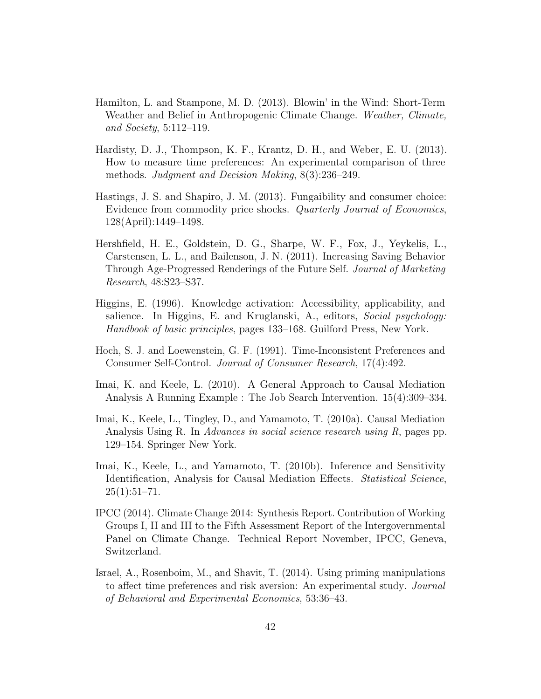- <span id="page-41-5"></span>Hamilton, L. and Stampone, M. D. (2013). Blowin' in the Wind: Short-Term Weather and Belief in Anthropogenic Climate Change. Weather, Climate, and Society, 5:112–119.
- <span id="page-41-7"></span>Hardisty, D. J., Thompson, K. F., Krantz, D. H., and Weber, E. U. (2013). How to measure time preferences: An experimental comparison of three methods. Judgment and Decision Making, 8(3):236–249.
- <span id="page-41-2"></span>Hastings, J. S. and Shapiro, J. M. (2013). Fungaibility and consumer choice: Evidence from commodity price shocks. Quarterly Journal of Economics, 128(April):1449–1498.
- <span id="page-41-3"></span>Hershfield, H. E., Goldstein, D. G., Sharpe, W. F., Fox, J., Yeykelis, L., Carstensen, L. L., and Bailenson, J. N. (2011). Increasing Saving Behavior Through Age-Progressed Renderings of the Future Self. Journal of Marketing Research, 48:S23–S37.
- <span id="page-41-6"></span>Higgins, E. (1996). Knowledge activation: Accessibility, applicability, and salience. In Higgins, E. and Kruglanski, A., editors, Social psychology: Handbook of basic principles, pages 133–168. Guilford Press, New York.
- <span id="page-41-0"></span>Hoch, S. J. and Loewenstein, G. F. (1991). Time-Inconsistent Preferences and Consumer Self-Control. Journal of Consumer Research, 17(4):492.
- <span id="page-41-9"></span>Imai, K. and Keele, L. (2010). A General Approach to Causal Mediation Analysis A Running Example : The Job Search Intervention. 15(4):309–334.
- <span id="page-41-10"></span>Imai, K., Keele, L., Tingley, D., and Yamamoto, T. (2010a). Causal Mediation Analysis Using R. In *Advances in social science research using R*, pages pp. 129–154. Springer New York.
- <span id="page-41-8"></span>Imai, K., Keele, L., and Yamamoto, T. (2010b). Inference and Sensitivity Identification, Analysis for Causal Mediation Effects. Statistical Science,  $25(1):51-71.$
- <span id="page-41-1"></span>IPCC (2014). Climate Change 2014: Synthesis Report. Contribution of Working Groups I, II and III to the Fifth Assessment Report of the Intergovernmental Panel on Climate Change. Technical Report November, IPCC, Geneva, Switzerland.
- <span id="page-41-4"></span>Israel, A., Rosenboim, M., and Shavit, T. (2014). Using priming manipulations to affect time preferences and risk aversion: An experimental study. Journal of Behavioral and Experimental Economics, 53:36–43.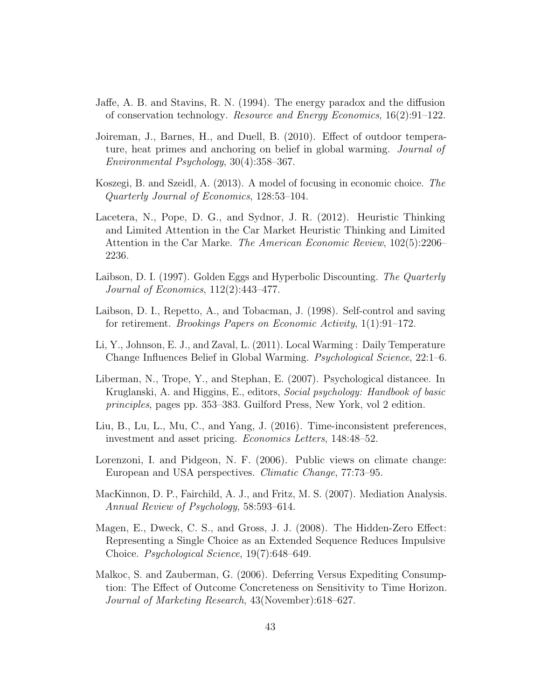- <span id="page-42-10"></span>Jaffe, A. B. and Stavins, R. N. (1994). The energy paradox and the diffusion of conservation technology. Resource and Energy Economics, 16(2):91–122.
- <span id="page-42-9"></span>Joireman, J., Barnes, H., and Duell, B. (2010). Effect of outdoor temperature, heat primes and anchoring on belief in global warming. *Journal of* Environmental Psychology, 30(4):358–367.
- <span id="page-42-2"></span>Koszegi, B. and Szeidl, A. (2013). A model of focusing in economic choice. The Quarterly Journal of Economics, 128:53–104.
- <span id="page-42-3"></span>Lacetera, N., Pope, D. G., and Sydnor, J. R. (2012). Heuristic Thinking and Limited Attention in the Car Market Heuristic Thinking and Limited Attention in the Car Marke. The American Economic Review, 102(5):2206– 2236.
- <span id="page-42-11"></span>Laibson, D. I. (1997). Golden Eggs and Hyperbolic Discounting. The Quarterly Journal of Economics, 112(2):443–477.
- <span id="page-42-0"></span>Laibson, D. I., Repetto, A., and Tobacman, J. (1998). Self-control and saving for retirement. Brookings Papers on Economic Activity, 1(1):91–172.
- <span id="page-42-8"></span>Li, Y., Johnson, E. J., and Zaval, L. (2011). Local Warming : Daily Temperature Change Influences Belief in Global Warming. Psychological Science, 22:1–6.
- <span id="page-42-4"></span>Liberman, N., Trope, Y., and Stephan, E. (2007). Psychological distancee. In Kruglanski, A. and Higgins, E., editors, Social psychology: Handbook of basic principles, pages pp. 353–383. Guilford Press, New York, vol 2 edition.
- <span id="page-42-1"></span>Liu, B., Lu, L., Mu, C., and Yang, J. (2016). Time-inconsistent preferences, investment and asset pricing. Economics Letters, 148:48–52.
- <span id="page-42-7"></span>Lorenzoni, I. and Pidgeon, N. F. (2006). Public views on climate change: European and USA perspectives. Climatic Change, 77:73–95.
- <span id="page-42-12"></span>MacKinnon, D. P., Fairchild, A. J., and Fritz, M. S. (2007). Mediation Analysis. Annual Review of Psychology, 58:593–614.
- <span id="page-42-6"></span>Magen, E., Dweck, C. S., and Gross, J. J. (2008). The Hidden-Zero Effect: Representing a Single Choice as an Extended Sequence Reduces Impulsive Choice. Psychological Science, 19(7):648–649.
- <span id="page-42-5"></span>Malkoc, S. and Zauberman, G. (2006). Deferring Versus Expediting Consumption: The Effect of Outcome Concreteness on Sensitivity to Time Horizon. Journal of Marketing Research, 43(November):618–627.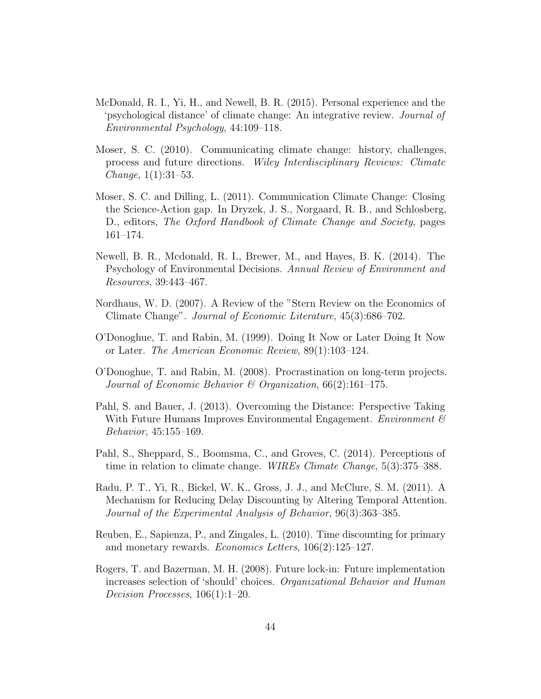- <span id="page-43-3"></span>McDonald, R. I., Yi, H., and Newell, B. R. (2015). Personal experience and the 'psychological distance' of climate change: An integrative review. Journal of Environmental Psychology, 44:109–118.
- <span id="page-43-4"></span>Moser, S. C. (2010). Communicating climate change: history, challenges, process and future directions. Wiley Interdisciplinary Reviews: Climate  $Change, 1(1):31-53.$
- <span id="page-43-10"></span>Moser, S. C. and Dilling, L. (2011). Communication Climate Change: Closing the Science-Action gap. In Dryzek, J. S., Norgaard, R. B., and Schlosberg, D., editors, The Oxford Handbook of Climate Change and Society, pages 161–174.
- <span id="page-43-8"></span>Newell, B. R., Mcdonald, R. I., Brewer, M., and Hayes, B. K. (2014). The Psychology of Environmental Decisions. Annual Review of Environment and Resources, 39:443–467.
- <span id="page-43-9"></span>Nordhaus, W. D. (2007). A Review of the "Stern Review on the Economics of Climate Change". Journal of Economic Literature, 45(3):686–702.
- <span id="page-43-0"></span>O'Donoghue, T. and Rabin, M. (1999). Doing It Now or Later Doing It Now or Later. The American Economic Review, 89(1):103–124.
- <span id="page-43-1"></span>O'Donoghue, T. and Rabin, M. (2008). Procrastination on long-term projects. Journal of Economic Behavior & Organization,  $66(2):161-175$ .
- <span id="page-43-7"></span>Pahl, S. and Bauer, J. (2013). Overcoming the Distance: Perspective Taking With Future Humans Improves Environmental Engagement. Environment  $\mathcal{C}$ Behavior, 45:155–169.
- <span id="page-43-2"></span>Pahl, S., Sheppard, S., Boomsma, C., and Groves, C. (2014). Perceptions of time in relation to climate change. WIREs Climate Change, 5(3):375–388.
- <span id="page-43-6"></span>Radu, P. T., Yi, R., Bickel, W. K., Gross, J. J., and McClure, S. M. (2011). A Mechanism for Reducing Delay Discounting by Altering Temporal Attention. Journal of the Experimental Analysis of Behavior, 96(3):363–385.
- <span id="page-43-11"></span>Reuben, E., Sapienza, P., and Zingales, L. (2010). Time discounting for primary and monetary rewards. *Economics Letters*,  $106(2):125-127$ .
- <span id="page-43-5"></span>Rogers, T. and Bazerman, M. H. (2008). Future lock-in: Future implementation increases selection of 'should' choices. Organizational Behavior and Human Decision Processes, 106(1):1–20.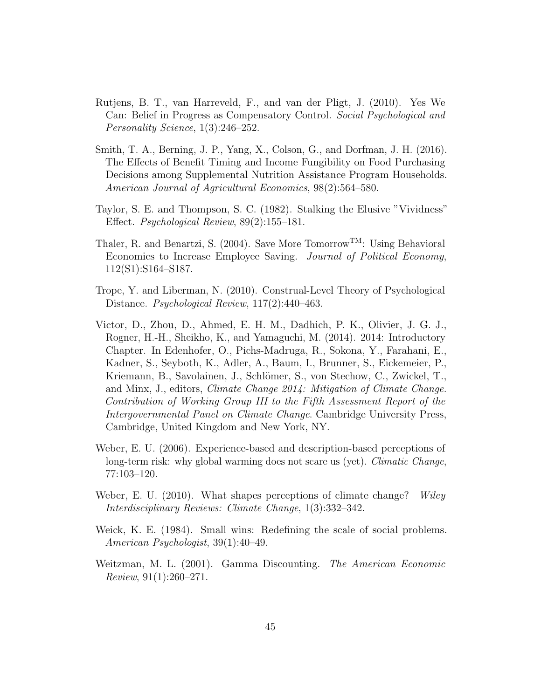- <span id="page-44-8"></span>Rutjens, B. T., van Harreveld, F., and van der Pligt, J. (2010). Yes We Can: Belief in Progress as Compensatory Control. Social Psychological and Personality Science, 1(3):246–252.
- <span id="page-44-1"></span>Smith, T. A., Berning, J. P., Yang, X., Colson, G., and Dorfman, J. H. (2016). The Effects of Benefit Timing and Income Fungibility on Food Purchasing Decisions among Supplemental Nutrition Assistance Program Households. American Journal of Agricultural Economics, 98(2):564–580.
- <span id="page-44-3"></span>Taylor, S. E. and Thompson, S. C. (1982). Stalking the Elusive "Vividness" Effect. Psychological Review, 89(2):155–181.
- <span id="page-44-0"></span>Thaler, R. and Benartzi, S. (2004). Save More Tomorrow<sup>TM</sup>: Using Behavioral Economics to Increase Employee Saving. Journal of Political Economy, 112(S1):S164–S187.
- <span id="page-44-4"></span>Trope, Y. and Liberman, N. (2010). Construal-Level Theory of Psychological Distance. Psychological Review, 117(2):440–463.
- <span id="page-44-6"></span>Victor, D., Zhou, D., Ahmed, E. H. M., Dadhich, P. K., Olivier, J. G. J., Rogner, H.-H., Sheikho, K., and Yamaguchi, M. (2014). 2014: Introductory Chapter. In Edenhofer, O., Pichs-Madruga, R., Sokona, Y., Farahani, E., Kadner, S., Seyboth, K., Adler, A., Baum, I., Brunner, S., Eickemeier, P., Kriemann, B., Savolainen, J., Schlömer, S., von Stechow, C., Zwickel, T., and Minx, J., editors, Climate Change 2014: Mitigation of Climate Change. Contribution of Working Group III to the Fifth Assessment Report of the Intergovernmental Panel on Climate Change. Cambridge University Press, Cambridge, United Kingdom and New York, NY.
- <span id="page-44-5"></span>Weber, E. U. (2006). Experience-based and description-based perceptions of long-term risk: why global warming does not scare us (yet). *Climatic Change*, 77:103–120.
- <span id="page-44-2"></span>Weber, E. U. (2010). What shapes perceptions of climate change? Wiley Interdisciplinary Reviews: Climate Change, 1(3):332–342.
- <span id="page-44-9"></span>Weick, K. E. (1984). Small wins: Redefining the scale of social problems. American Psychologist, 39(1):40–49.
- <span id="page-44-7"></span>Weitzman, M. L. (2001). Gamma Discounting. The American Economic Review, 91(1):260–271.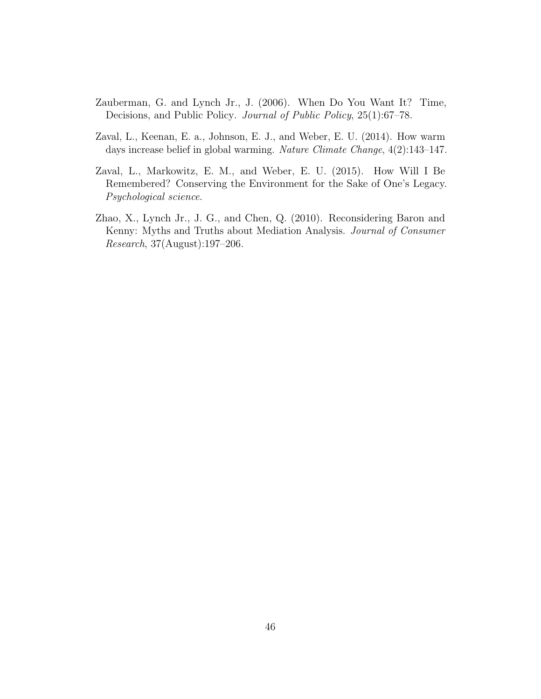- <span id="page-45-2"></span>Zauberman, G. and Lynch Jr., J. (2006). When Do You Want It? Time, Decisions, and Public Policy. Journal of Public Policy, 25(1):67–78.
- <span id="page-45-1"></span>Zaval, L., Keenan, E. a., Johnson, E. J., and Weber, E. U. (2014). How warm days increase belief in global warming. Nature Climate Change, 4(2):143–147.
- <span id="page-45-0"></span>Zaval, L., Markowitz, E. M., and Weber, E. U. (2015). How Will I Be Remembered? Conserving the Environment for the Sake of One's Legacy. Psychological science.
- <span id="page-45-3"></span>Zhao, X., Lynch Jr., J. G., and Chen, Q. (2010). Reconsidering Baron and Kenny: Myths and Truths about Mediation Analysis. Journal of Consumer Research, 37(August):197–206.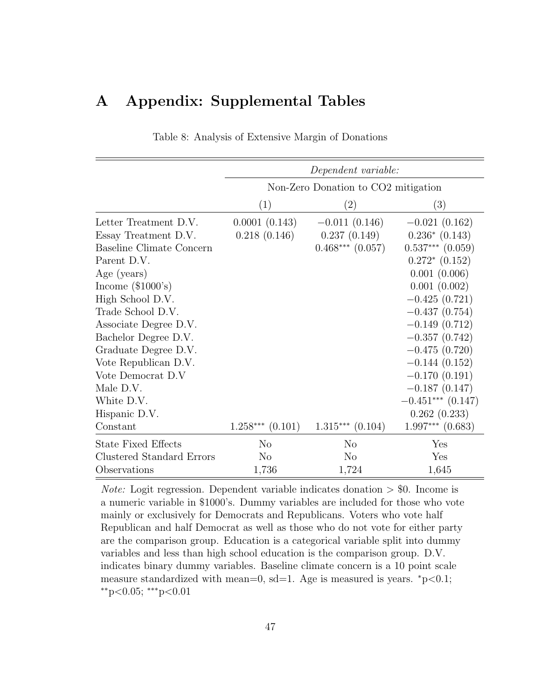## <span id="page-46-0"></span>A Appendix: Supplemental Tables

|                                  |                      | Dependent variable:                 |                      |  |  |
|----------------------------------|----------------------|-------------------------------------|----------------------|--|--|
|                                  |                      | Non-Zero Donation to CO2 mitigation |                      |  |  |
|                                  |                      |                                     |                      |  |  |
|                                  | (1)                  | $\left( 2\right)$                   | $\left( 3\right)$    |  |  |
| Letter Treatment D.V.            | 0.0001(0.143)        | $-0.011(0.146)$                     | $-0.021(0.162)$      |  |  |
| Essay Treatment D.V.             | 0.218(0.146)         | 0.237(0.149)                        | $0.236*(0.143)$      |  |  |
| Baseline Climate Concern         |                      | $0.468***$ $(0.057)$                | $0.537***$ $(0.059)$ |  |  |
| Parent D.V.                      |                      |                                     | $0.272*(0.152)$      |  |  |
| Age (years)                      |                      |                                     | 0.001(0.006)         |  |  |
| Income $(\$1000's)$              |                      |                                     | 0.001(0.002)         |  |  |
| High School D.V.                 |                      |                                     | $-0.425(0.721)$      |  |  |
| Trade School D.V.                |                      |                                     | $-0.437(0.754)$      |  |  |
| Associate Degree D.V.            |                      |                                     | $-0.149(0.712)$      |  |  |
| Bachelor Degree D.V.             |                      |                                     | $-0.357(0.742)$      |  |  |
| Graduate Degree D.V.             |                      |                                     | $-0.475(0.720)$      |  |  |
| Vote Republican D.V.             |                      |                                     | $-0.144(0.152)$      |  |  |
| Vote Democrat D.V                |                      |                                     | $-0.170(0.191)$      |  |  |
| Male D.V.                        |                      |                                     | $-0.187(0.147)$      |  |  |
| White D.V.                       |                      |                                     | $-0.451***$ (0.147)  |  |  |
| Hispanic D.V.                    |                      |                                     | 0.262(0.233)         |  |  |
| Constant                         | $1.258***$ $(0.101)$ | $1.315***$ $(0.104)$                | $1.997***$ $(0.683)$ |  |  |
| <b>State Fixed Effects</b>       | $\rm No$             | $\rm No$                            | Yes                  |  |  |
| <b>Clustered Standard Errors</b> | $\rm No$             | $\rm No$                            | Yes                  |  |  |
| Observations                     | 1,736                | 1,724                               | 1,645                |  |  |

Table 8: Analysis of Extensive Margin of Donations

*Note:* Logit regression. Dependent variable indicates donation  $>$  \$0. Income is a numeric variable in \$1000's. Dummy variables are included for those who vote mainly or exclusively for Democrats and Republicans. Voters who vote half Republican and half Democrat as well as those who do not vote for either party are the comparison group. Education is a categorical variable split into dummy variables and less than high school education is the comparison group. D.V. indicates binary dummy variables. Baseline climate concern is a 10 point scale measure standardized with mean=0, sd=1. Age is measured is years.  $\degree$ p<0.1;  $*$ <sup>\*</sup>p<0.05; \*\*\*p<0.01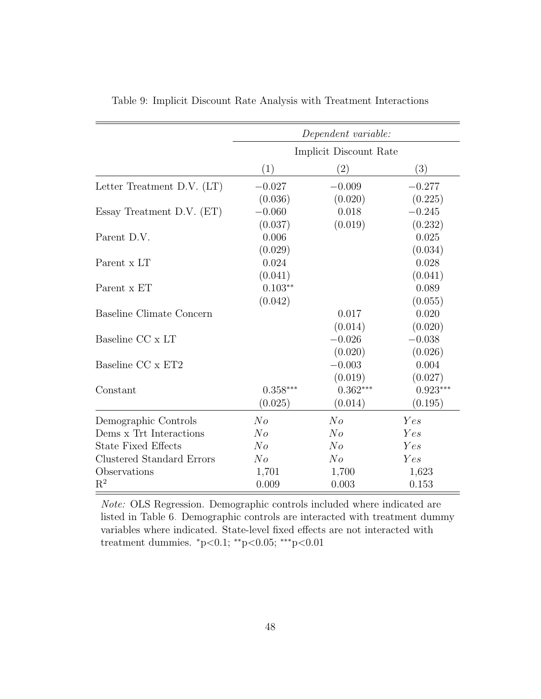|                              |                         | Dependent variable:    |            |  |  |  |
|------------------------------|-------------------------|------------------------|------------|--|--|--|
|                              |                         | Implicit Discount Rate |            |  |  |  |
|                              | (1)                     | (2)                    | (3)        |  |  |  |
| Letter Treatment D.V. $(LT)$ | $-0.027$                | $-0.009$               | $-0.277$   |  |  |  |
|                              | (0.036)                 | (0.020)                | (0.225)    |  |  |  |
| Essay Treatment D.V. $(ET)$  | $-0.060$                | 0.018                  | $-0.245$   |  |  |  |
|                              | (0.037)                 | (0.019)                | (0.232)    |  |  |  |
| Parent D.V.                  | 0.006                   |                        | 0.025      |  |  |  |
|                              | (0.029)                 |                        | (0.034)    |  |  |  |
| Parent x LT                  | 0.024                   |                        | 0.028      |  |  |  |
|                              | (0.041)                 |                        | (0.041)    |  |  |  |
| Parent x ET                  | $0.103**$               |                        | 0.089      |  |  |  |
|                              | (0.042)                 |                        | (0.055)    |  |  |  |
| Baseline Climate Concern     |                         | 0.017                  | 0.020      |  |  |  |
|                              |                         | (0.014)                | (0.020)    |  |  |  |
| Baseline CC x LT             |                         | $-0.026$               | $-0.038$   |  |  |  |
|                              |                         | (0.020)                | (0.026)    |  |  |  |
| Baseline CC x ET2            |                         | $-0.003$               | 0.004      |  |  |  |
|                              |                         | (0.019)                | (0.027)    |  |  |  |
| Constant                     | $0.358***$              | $0.362***$             | $0.923***$ |  |  |  |
|                              | (0.025)                 | (0.014)                | (0.195)    |  |  |  |
| Demographic Controls         | No                      | No                     | Yes        |  |  |  |
| Dems x Trt Interactions      | N <sub>o</sub>          | No                     | Yes        |  |  |  |
| <b>State Fixed Effects</b>   | No                      | No                     | Yes        |  |  |  |
| Clustered Standard Errors    | $N_{O}$                 | $N_{O}$                | Yes        |  |  |  |
| Observations                 | 1,701                   | 1,700                  | 1,623      |  |  |  |
| $R^2$                        | 0.003<br>0.009<br>0.153 |                        |            |  |  |  |

<span id="page-47-0"></span>Table 9: Implicit Discount Rate Analysis with Treatment Interactions

Note: OLS Regression. Demographic controls included where indicated are listed in Table [6.](#page-33-0) Demographic controls are interacted with treatment dummy variables where indicated. State-level fixed effects are not interacted with treatment dummies. <sup>∗</sup>p<0.1; ∗∗p<0.05; ∗∗∗p<0.01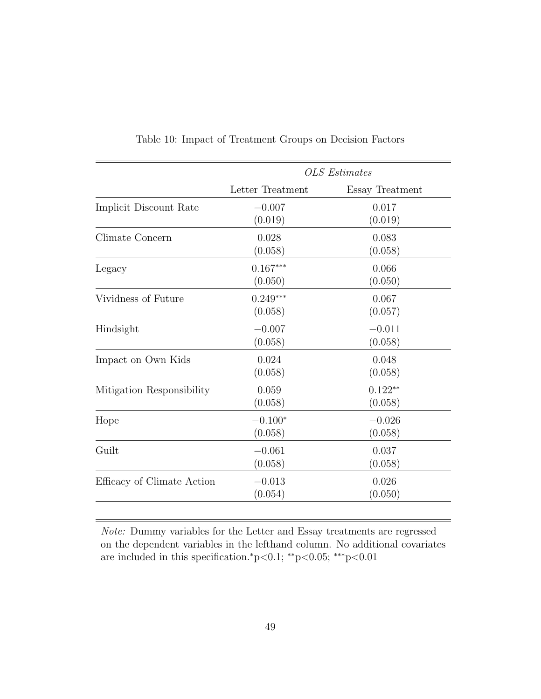<span id="page-48-0"></span>

|                            | <b>OLS</b> Estimates |                 |  |
|----------------------------|----------------------|-----------------|--|
|                            | Letter Treatment     | Essay Treatment |  |
| Implicit Discount Rate     | $-0.007$             | 0.017           |  |
|                            | (0.019)              | (0.019)         |  |
| Climate Concern            | 0.028                | 0.083           |  |
|                            | (0.058)              | (0.058)         |  |
| Legacy                     | $0.167***$           | 0.066           |  |
|                            | (0.050)              | (0.050)         |  |
| Vividness of Future        | $0.249***$           | 0.067           |  |
|                            | (0.058)              | (0.057)         |  |
| Hindsight                  | $-0.007$             | $-0.011$        |  |
|                            | (0.058)              | (0.058)         |  |
| Impact on Own Kids         | 0.024                | 0.048           |  |
|                            | (0.058)              | (0.058)         |  |
| Mitigation Responsibility  | 0.059                | $0.122**$       |  |
|                            | (0.058)              | (0.058)         |  |
| Hope                       | $-0.100*$            | $-0.026$        |  |
|                            | (0.058)              | (0.058)         |  |
| Guilt                      | $-0.061$             | 0.037           |  |
|                            | (0.058)              | (0.058)         |  |
| Efficacy of Climate Action | $-0.013$             | 0.026           |  |
|                            | (0.054)              | (0.050)         |  |
|                            |                      |                 |  |

Table 10: Impact of Treatment Groups on Decision Factors

Note: Dummy variables for the Letter and Essay treatments are regressed on the dependent variables in the lefthand column. No additional covariates are included in this specification.<sup>∗</sup>p<0.1; ∗∗p<0.05; ∗∗∗p<0.01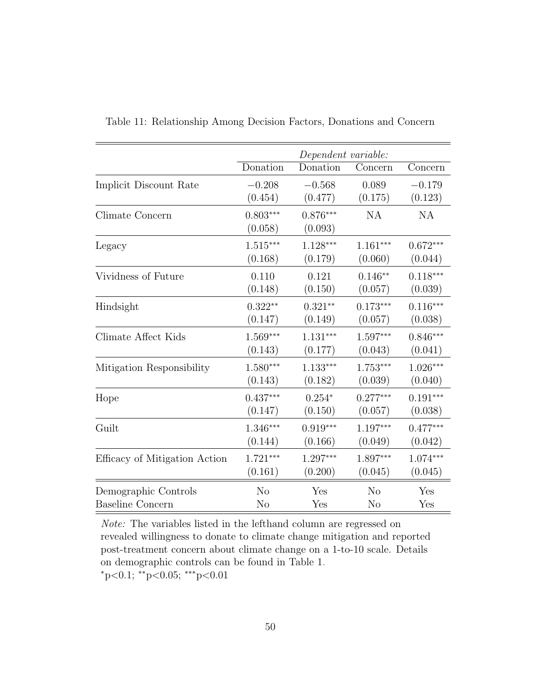|                               | Dependent variable:   |                       |                |            |
|-------------------------------|-----------------------|-----------------------|----------------|------------|
|                               | Donation              | Donation              | Concern        | Concern    |
| Implicit Discount Rate        | $-0.208$              | $-0.568$              | 0.089          | $-0.179$   |
|                               | (0.454)               | (0.477)               | (0.175)        | (0.123)    |
| Climate Concern               | $0.803***$<br>(0.058) | $0.876***$<br>(0.093) | NA             | NA         |
| Legacy                        | $1.515***$            | $1.128***$            | $1.161***$     | $0.672***$ |
|                               | (0.168)               | (0.179)               | (0.060)        | (0.044)    |
| Vividness of Future           | 0.110                 | 0.121                 | $0.146**$      | $0.118***$ |
|                               | (0.148)               | (0.150)               | (0.057)        | (0.039)    |
| Hindsight                     | $0.322**$             | $0.321**$             | $0.173***$     | $0.116***$ |
|                               | (0.147)               | (0.149)               | (0.057)        | (0.038)    |
| Climate Affect Kids           | $1.569***$            | $1.131***$            | $1.597***$     | $0.846***$ |
|                               | (0.143)               | (0.177)               | (0.043)        | (0.041)    |
| Mitigation Responsibility     | $1.580***$            | $1.133***$            | $1.753***$     | $1.026***$ |
|                               | (0.143)               | (0.182)               | (0.039)        | (0.040)    |
| Hope                          | $0.437***$            | $0.254*$              | $0.277***$     | $0.191***$ |
|                               | (0.147)               | (0.150)               | (0.057)        | (0.038)    |
| Guilt                         | $1.346***$            | $0.919***$            | $1.197***$     | $0.477***$ |
|                               | (0.144)               | (0.166)               | (0.049)        | (0.042)    |
| Efficacy of Mitigation Action | $1.721***$            | $1.297***$            | $1.897***$     | $1.074***$ |
|                               | (0.161)               | (0.200)               | (0.045)        | (0.045)    |
| Demographic Controls          | N <sub>o</sub>        | Yes                   | N <sub>o</sub> | Yes        |
| <b>Baseline Concern</b>       | N <sub>o</sub>        | Yes                   | N <sub>o</sub> | Yes        |

<span id="page-49-0"></span>Table 11: Relationship Among Decision Factors, Donations and Concern

Note: The variables listed in the lefthand column are regressed on revealed willingness to donate to climate change mitigation and reported post-treatment concern about climate change on a 1-to-10 scale. Details on demographic controls can be found in Table [1.](#page-21-0) <sup>∗</sup>p<0.1; ∗∗p<0.05; ∗∗∗p<0.01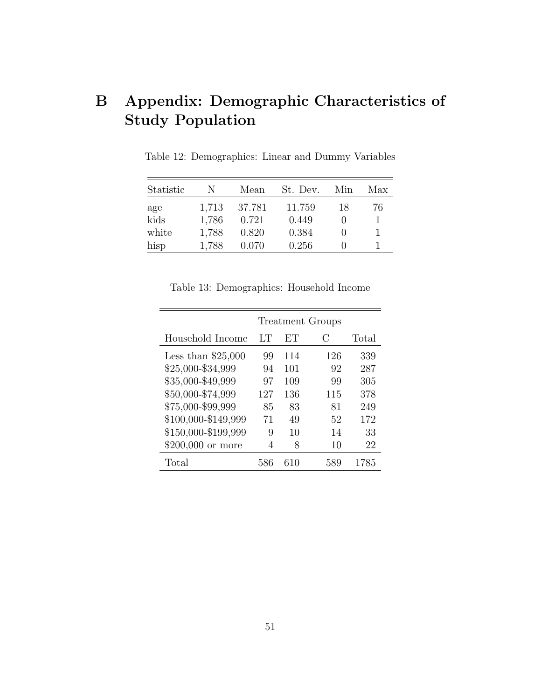# B Appendix: Demographic Characteristics of Study Population

| Statistic | N     | Mean   | St. Dev. | Min | Max |
|-----------|-------|--------|----------|-----|-----|
| age       | 1,713 | 37.781 | 11.759   | 18  | 76  |
| kids      | 1.786 | 0.721  | 0.449    |     |     |
| white     | 1,788 | 0.820  | 0.384    |     |     |
| hisp      | 1.788 | 0.070  | 0.256    |     |     |

Table 12: Demographics: Linear and Dummy Variables

|                     | <b>Treatment Groups</b> |     |               |       |  |  |  |
|---------------------|-------------------------|-----|---------------|-------|--|--|--|
| Household Income    | LТ                      | EТ  | $\mathcal{C}$ | Total |  |  |  |
| Less than $$25,000$ | 99                      | 114 | 126           | 339   |  |  |  |
| \$25,000-\$34,999   | 94                      | 101 | 92            | 287   |  |  |  |
| \$35,000-\$49,999   | 97                      | 109 | 99            | 305   |  |  |  |
| \$50,000-\$74,999   | 127                     | 136 | 115           | 378   |  |  |  |
| \$75,000-\$99,999   | 85                      | 83  | 81            | 249   |  |  |  |
| \$100,000-\$149,999 | 71                      | 49  | 52            | 172   |  |  |  |
| \$150,000-\$199,999 | 9                       | 10  | 14            | 33    |  |  |  |
| \$200,000 or more   | 4                       | 8   | 10            | 22    |  |  |  |
| Total               | 586                     | 610 | 589           | 1785  |  |  |  |

Table 13: Demographics: Household Income

 $\overline{\phantom{0}}$ 

<u> 1989 - Johann Barnett, fransk politiker (d. 1989)</u>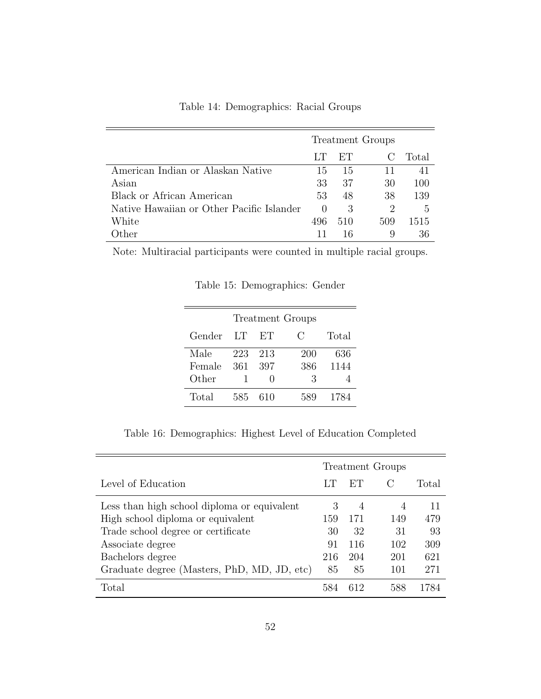|                                           | <b>Treatment Groups</b> |     |                             |       |
|-------------------------------------------|-------------------------|-----|-----------------------------|-------|
|                                           | LТ                      | ET  |                             | Total |
| American Indian or Alaskan Native         | 15                      | 15  | 11                          | 41    |
| Asian                                     | 33                      | 37  | 30                          | 100   |
| Black or African American                 | 53                      | 48  | 38                          | 139   |
| Native Hawaiian or Other Pacific Islander | $\left( \right)$        | 3   | $\mathcal{D}_{\mathcal{L}}$ | 5     |
| White                                     | 496                     | 510 | 509                         | 1515  |
| ither.                                    |                         | 16  | 9                           |       |

Table 14: Demographics: Racial Groups

Note: Multiracial participants were counted in multiple racial groups.

Table 15: Demographics: Gender

 $\equiv$ 

 $=$ 

| <b>Treatment Groups</b> |     |     |     |       |  |  |
|-------------------------|-----|-----|-----|-------|--|--|
| Gender                  | TТ  | ET  | €.  | Total |  |  |
| Male                    | 223 | 213 | 200 | 636   |  |  |
| Female                  | 361 | 397 | 386 | 1144  |  |  |
| Other                   |     |     | З   |       |  |  |
| Total                   | 585 | 610 | 589 | 1784  |  |  |

Table 16: Demographics: Highest Level of Education Completed

|                                             | <b>Treatment Groups</b> |                |     |       |
|---------------------------------------------|-------------------------|----------------|-----|-------|
| Level of Education                          | LТ                      | ET             |     | Total |
| Less than high school diploma or equivalent | 3                       | $\overline{4}$ | 4   | 11    |
| High school diploma or equivalent           | 159                     | 171            | 149 | 479   |
| Trade school degree or certificate          | 30                      | 32             | 31  | 93    |
| Associate degree                            | 91                      | 116            | 102 | 309   |
| Bachelors degree                            | 216                     | 204            | 201 | 621   |
| Graduate degree (Masters, PhD, MD, JD, etc) | 85                      | 85             | 101 | 271   |
| Total                                       | 584                     | 612            | 588 |       |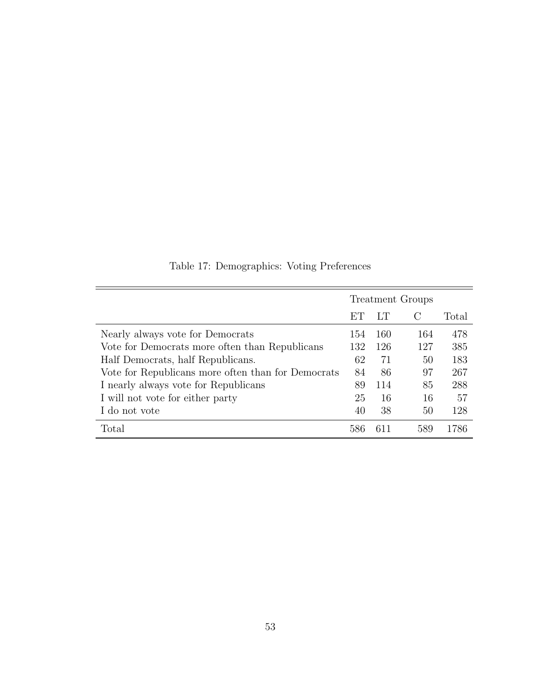|                                                    | <b>Treatment Groups</b> |     |               |       |
|----------------------------------------------------|-------------------------|-----|---------------|-------|
|                                                    | ET                      | LТ  | $\mathcal{C}$ | Total |
| Nearly always vote for Democrats                   | 154                     | 160 | 164           | 478   |
| Vote for Democrats more often than Republicans     | 132                     | 126 | 127           | 385   |
| Half Democrats, half Republicans.                  | 62                      | 71  | 50            | 183   |
| Vote for Republicans more often than for Democrats | 84                      | 86  | 97            | 267   |
| I nearly always vote for Republicans               | 89                      | 114 | 85            | 288   |
| I will not vote for either party                   | 25                      | 16  | 16            | 57    |
| I do not vote                                      | 40                      | 38  | 50            | 128   |
| Total                                              |                         |     | 589           | 786   |

Table 17: Demographics: Voting Preferences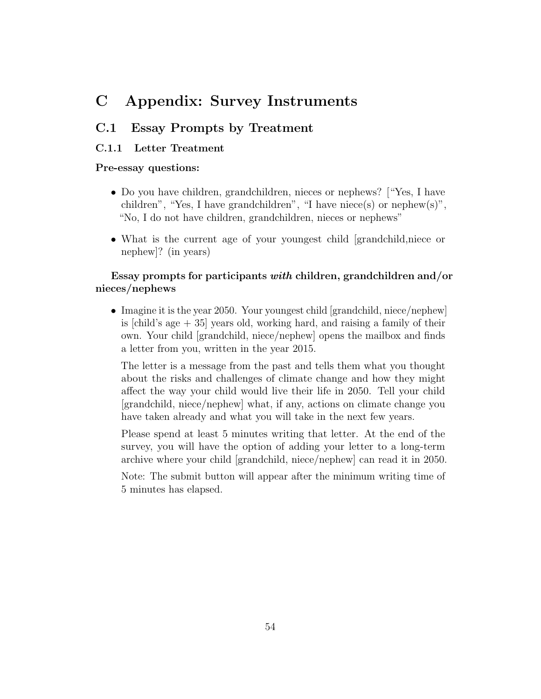## C Appendix: Survey Instruments

### C.1 Essay Prompts by Treatment

#### C.1.1 Letter Treatment

#### Pre-essay questions:

- Do you have children, grandchildren, nieces or nephews? ["Yes, I have children", "Yes, I have grandchildren", "I have niece(s) or nephew(s)", "No, I do not have children, grandchildren, nieces or nephews"
- What is the current age of your youngest child [grandchild,niece or nephew]? (in years)

### Essay prompts for participants with children, grandchildren and/or nieces/nephews

• Imagine it is the year 2050. Your youngest child [grandchild, niece/nephew] is [child's age + 35] years old, working hard, and raising a family of their own. Your child [grandchild, niece/nephew] opens the mailbox and finds a letter from you, written in the year 2015.

The letter is a message from the past and tells them what you thought about the risks and challenges of climate change and how they might affect the way your child would live their life in 2050. Tell your child [grandchild, niece/nephew] what, if any, actions on climate change you have taken already and what you will take in the next few years.

Please spend at least 5 minutes writing that letter. At the end of the survey, you will have the option of adding your letter to a long-term archive where your child [grandchild, niece/nephew] can read it in 2050.

Note: The submit button will appear after the minimum writing time of 5 minutes has elapsed.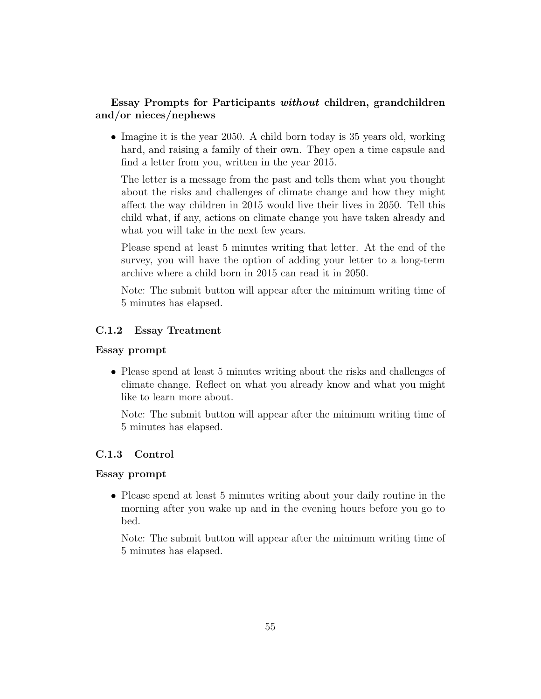### Essay Prompts for Participants without children, grandchildren and/or nieces/nephews

• Imagine it is the year 2050. A child born today is 35 years old, working hard, and raising a family of their own. They open a time capsule and find a letter from you, written in the year 2015.

The letter is a message from the past and tells them what you thought about the risks and challenges of climate change and how they might affect the way children in 2015 would live their lives in 2050. Tell this child what, if any, actions on climate change you have taken already and what you will take in the next few years.

Please spend at least 5 minutes writing that letter. At the end of the survey, you will have the option of adding your letter to a long-term archive where a child born in 2015 can read it in 2050.

Note: The submit button will appear after the minimum writing time of 5 minutes has elapsed.

### C.1.2 Essay Treatment

#### Essay prompt

• Please spend at least 5 minutes writing about the risks and challenges of climate change. Reflect on what you already know and what you might like to learn more about.

Note: The submit button will appear after the minimum writing time of 5 minutes has elapsed.

#### C.1.3 Control

#### Essay prompt

• Please spend at least 5 minutes writing about your daily routine in the morning after you wake up and in the evening hours before you go to bed.

Note: The submit button will appear after the minimum writing time of 5 minutes has elapsed.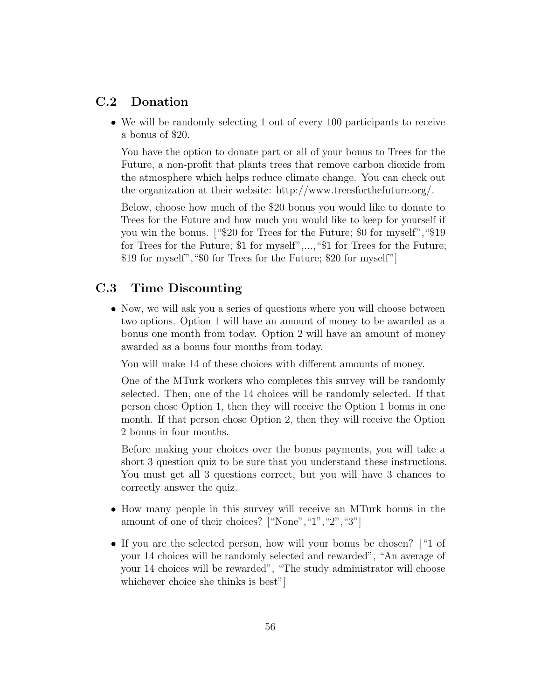### C.2 Donation

• We will be randomly selecting 1 out of every 100 participants to receive a bonus of \$20.

You have the option to donate part or all of your bonus to Trees for the Future, a non-profit that plants trees that remove carbon dioxide from the atmosphere which helps reduce climate change. You can check out the organization at their website: http://www.treesforthefuture.org/.

Below, choose how much of the \$20 bonus you would like to donate to Trees for the Future and how much you would like to keep for yourself if you win the bonus. ["\$20 for Trees for the Future; \$0 for myself","\$19 for Trees for the Future; \$1 for myself",...,"\$1 for Trees for the Future; \$19 for myself","\$0 for Trees for the Future; \$20 for myself"]

### C.3 Time Discounting

• Now, we will ask you a series of questions where you will choose between two options. Option 1 will have an amount of money to be awarded as a bonus one month from today. Option 2 will have an amount of money awarded as a bonus four months from today.

You will make 14 of these choices with different amounts of money.

One of the MTurk workers who completes this survey will be randomly selected. Then, one of the 14 choices will be randomly selected. If that person chose Option 1, then they will receive the Option 1 bonus in one month. If that person chose Option 2, then they will receive the Option 2 bonus in four months.

Before making your choices over the bonus payments, you will take a short 3 question quiz to be sure that you understand these instructions. You must get all 3 questions correct, but you will have 3 chances to correctly answer the quiz.

- How many people in this survey will receive an MTurk bonus in the amount of one of their choices? ["None", "1", "2", "3"]
- If you are the selected person, how will your bonus be chosen? ["1 of your 14 choices will be randomly selected and rewarded", "An average of your 14 choices will be rewarded", "The study administrator will choose whichever choice she thinks is best"]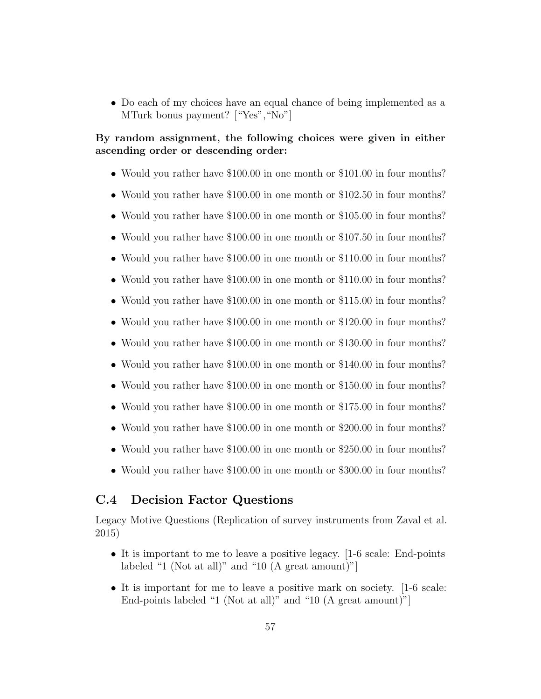• Do each of my choices have an equal chance of being implemented as a MTurk bonus payment? ["Yes", "No"]

### By random assignment, the following choices were given in either ascending order or descending order:

- Would you rather have \$100.00 in one month or \$101.00 in four months?
- Would you rather have \$100.00 in one month or \$102.50 in four months?
- Would you rather have \$100.00 in one month or \$105.00 in four months?
- Would you rather have \$100.00 in one month or \$107.50 in four months?
- Would you rather have \$100.00 in one month or \$110.00 in four months?
- Would you rather have \$100.00 in one month or \$110.00 in four months?
- Would you rather have \$100.00 in one month or \$115.00 in four months?
- Would you rather have \$100.00 in one month or \$120.00 in four months?
- Would you rather have \$100.00 in one month or \$130.00 in four months?
- Would you rather have \$100.00 in one month or \$140.00 in four months?
- Would you rather have \$100.00 in one month or \$150.00 in four months?
- Would you rather have \$100.00 in one month or \$175.00 in four months?
- Would you rather have \$100.00 in one month or \$200.00 in four months?
- Would you rather have \$100.00 in one month or \$250.00 in four months?
- Would you rather have \$100.00 in one month or \$300.00 in four months?

### C.4 Decision Factor Questions

Legacy Motive Questions (Replication of survey instruments from Zaval et al. 2015)

- It is important to me to leave a positive legacy. [1-6 scale: End-points labeled "1 (Not at all)" and "10 (A great amount)"]
- It is important for me to leave a positive mark on society. [1-6 scale: End-points labeled "1 (Not at all)" and "10 (A great amount)"]